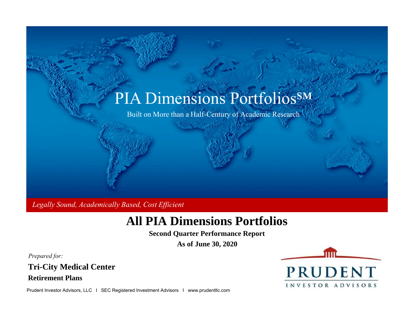

Legally Sound, Academically Based, Cost Efficient

# **All PIA Dimensions Portfolios**<br>
Second Quarter Performance Report<br>
As of June 30, 2020<br>
Tri-City Medical Center<br>
Retirement Plans

**Second Quarter Performance Report**

**As of June 30, 2020**

Prepared for:

**Tri-City Medical Center**

ш

Prudent Investor Advisors, LLC I SEC Registered Investment Advisors I www.prudentllc.com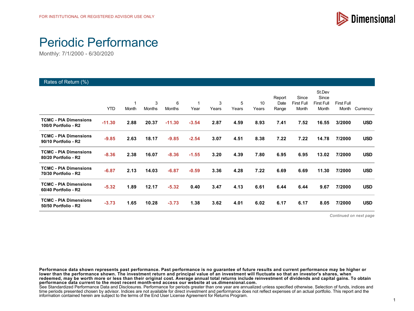

# Periodic Performance

Monthly: 7/1/2000 - 6/30/2020

#### Rates of Return (%)

|                                                      | <b>YTD</b> | 1<br>Month | 3<br><b>Months</b> | 6<br>Months | 1<br>Year | 3<br>Years | 5<br>Years | 10<br>Years | Report<br>Date<br>Range | Since<br><b>First Full</b><br>Month | St.Dev<br>Since<br><b>First Full</b><br>Month | First Full<br>Month | Currency   |
|------------------------------------------------------|------------|------------|--------------------|-------------|-----------|------------|------------|-------------|-------------------------|-------------------------------------|-----------------------------------------------|---------------------|------------|
| <b>TCMC - PIA Dimensions</b><br>100/0 Portfolio - R2 | $-11.30$   | 2.88       | 20.37              | $-11.30$    | $-3.54$   | 2.87       | 4.59       | 8.93        | 7.41                    | 7.52                                | 16.55                                         | 3/2000              | <b>USD</b> |
| <b>TCMC - PIA Dimensions</b><br>90/10 Portfolio - R2 | $-9.85$    | 2.63       | 18.17              | $-9.85$     | $-2.54$   | 3.07       | 4.51       | 8.38        | 7.22                    | 7.22                                | 14.78                                         | 7/2000              | <b>USD</b> |
| <b>TCMC - PIA Dimensions</b><br>80/20 Portfolio - R2 | $-8.36$    | 2.38       | 16.07              | $-8.36$     | $-1.55$   | 3.20       | 4.39       | 7.80        | 6.95                    | 6.95                                | 13.02                                         | 7/2000              | <b>USD</b> |
| <b>TCMC - PIA Dimensions</b><br>70/30 Portfolio - R2 | $-6.87$    | 2.13       | 14.03              | $-6.87$     | $-0.59$   | 3.36       | 4.28       | 7.22        | 6.69                    | 6.69                                | 11.30                                         | 7/2000              | <b>USD</b> |
| <b>TCMC - PIA Dimensions</b><br>60/40 Portfolio - R2 | $-5.32$    | 1.89       | 12.17              | $-5.32$     | 0.40      | 3.47       | 4.13       | 6.61        | 6.44                    | 6.44                                | 9.67                                          | 7/2000              | <b>USD</b> |
| <b>TCMC - PIA Dimensions</b><br>50/50 Portfolio - R2 | $-3.73$    | 1.65       | 10.28              | $-3.73$     | 1.38      | 3.62       | 4.01       | 6.02        | 6.17                    | 6.17                                | 8.05                                          | 7/2000              | <b>USD</b> |

*Continued on next page*

**Performance data shown represents past performance. Past performance is no guarantee of future results and current performance may be higher or lower than the performance shown. The investment return and principal value of an investment will fluctuate so that an investor's shares, when redeemed, may be worth more or less than their original cost. Average annual total returns include reinvestment of dividends and capital gains. To obtain performance data current to the most recent month-end access our website at us.dimensional.com.**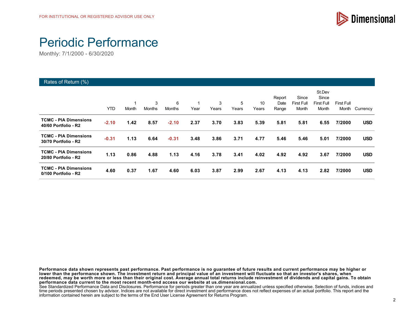

# Periodic Performance

Monthly: 7/1/2000 - 6/30/2020

| Rates of Return (%)                                  |            |       |             |             |      |            |            |             |                         |                                     |                                               |                     |            |
|------------------------------------------------------|------------|-------|-------------|-------------|------|------------|------------|-------------|-------------------------|-------------------------------------|-----------------------------------------------|---------------------|------------|
|                                                      | <b>YTD</b> | Month | 3<br>Months | 6<br>Months | Year | 3<br>Years | 5<br>Years | 10<br>Years | Report<br>Date<br>Range | Since<br><b>First Full</b><br>Month | St.Dev<br>Since<br><b>First Full</b><br>Month | First Full<br>Month | Currency   |
| <b>TCMC - PIA Dimensions</b><br>40/60 Portfolio - R2 | $-2.10$    | 1.42  | 8.57        | $-2.10$     | 2.37 | 3.70       | 3.83       | 5.39        | 5.81                    | 5.81                                | 6.55                                          | 7/2000              | <b>USD</b> |
| <b>TCMC - PIA Dimensions</b><br>30/70 Portfolio - R2 | $-0.31$    | 1.13  | 6.64        | $-0.31$     | 3.48 | 3.86       | 3.71       | 4.77        | 5.46                    | 5.46                                | 5.01                                          | 7/2000              | <b>USD</b> |
| <b>TCMC - PIA Dimensions</b><br>20/80 Portfolio - R2 | 1.13       | 0.86  | 4.88        | 1.13        | 4.16 | 3.78       | 3.41       | 4.02        | 4.92                    | 4.92                                | 3.67                                          | 7/2000              | <b>USD</b> |
| <b>TCMC - PIA Dimensions</b><br>0/100 Portfolio - R2 | 4.60       | 0.37  | 1.67        | 4.60        | 6.03 | 3.87       | 2.99       | 2.67        | 4.13                    | 4.13                                | 2.82                                          | 7/2000              | <b>USD</b> |

**Performance data shown represents past performance. Past performance is no guarantee of future results and current performance may be higher or lower than the performance shown. The investment return and principal value of an investment will fluctuate so that an investor's shares, when redeemed, may be worth more or less than their original cost. Average annual total returns include reinvestment of dividends and capital gains. To obtain performance data current to the most recent month-end access our website at us.dimensional.com.**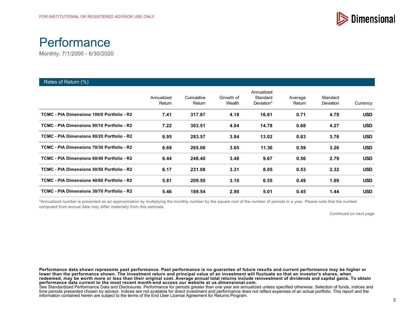



| Rates of Return (%)                        |                      |                      |                     |                                      |                   |                       |            |
|--------------------------------------------|----------------------|----------------------|---------------------|--------------------------------------|-------------------|-----------------------|------------|
|                                            | Annualized<br>Return | Cumulative<br>Return | Growth of<br>Wealth | Annualized<br>Standard<br>Deviation* | Average<br>Return | Standard<br>Deviation | Currency   |
| TCMC - PIA Dimensions 100/0 Portfolio - R2 | 7.41                 | 317.87               | 4.18                | 16.61                                | 0.71              | 4.79                  | <b>USD</b> |
| TCMC - PIA Dimensions 90/10 Portfolio - R2 | 7.22                 | 303.51               | 4.04                | 14.78                                | 0.68              | 4.27                  | <b>USD</b> |
| TCMC - PIA Dimensions 80/20 Portfolio - R2 | 6.95                 | 283.57               | 3.84                | 13.02                                | 0.63              | 3.76                  | <b>USD</b> |
| TCMC - PIA Dimensions 70/30 Portfolio - R2 | 6.69                 | 265.06               | 3.65                | 11.30                                | 0.59              | 3.26                  | <b>USD</b> |
| TCMC - PIA Dimensions 60/40 Portfolio - R2 | 6.44                 | 248.40               | 3.48                | 9.67                                 | 0.56              | 2.79                  | <b>USD</b> |
| TCMC - PIA Dimensions 50/50 Portfolio - R2 | 6.17                 | 231.08               | 3.31                | 8.05                                 | 0.53              | 2.32                  | <b>USD</b> |
| TCMC - PIA Dimensions 40/60 Portfolio - R2 | 5.81                 | 209.50               | 3.10                | 6.55                                 | 0.49              | 1.89                  | <b>USD</b> |
| TCMC - PIA Dimensions 30/70 Portfolio - R2 | 5.46                 | 189.54               | 2.90                | 5.01                                 | 0.45              | 1.44                  | <b>USD</b> |

\*Annualized number is presented as an approximation by multiplying the monthly number by the square root of the number of periods in a year. Please note that the number computed from annual data may differ materially from this estimate.

*Continued on next page*

**Performance data shown represents past performance. Past performance is no guarantee of future results and current performance may be higher or** lower than the performance shown. The investment return and principal value of an investment will fluctuate so that an investor's shares, when **redeemed, may be worth more or less than their original cost. Average annual total returns include reinvestment of dividends and capital gains. To obtain performance data current to the most recent month-end access our website at us.dimensional.com.**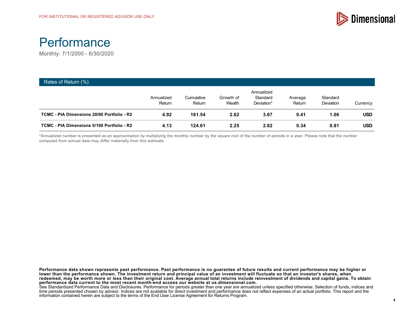



| Rates of Return (%)                        |                      |                      |                     |                                      |                   |                              |            |
|--------------------------------------------|----------------------|----------------------|---------------------|--------------------------------------|-------------------|------------------------------|------------|
|                                            | Annualized<br>Return | Cumulative<br>Return | Growth of<br>Wealth | Annualized<br>Standard<br>Deviation* | Average<br>Return | Standard<br><b>Deviation</b> | Currency   |
| TCMC - PIA Dimensions 20/80 Portfolio - R2 | 4.92                 | 161.54               | 2.62                | 3.67                                 | 0.41              | 1.06                         | <b>USD</b> |
| TCMC - PIA Dimensions 0/100 Portfolio - R2 | 4.13                 | 124.61               | 2.25                | 2.82                                 | 0.34              | 0.81                         | <b>USD</b> |

\*Annualized number is presented as an approximation by multiplying the monthly number by the square root of the number of periods in a year. Please note that the number computed from annual data may differ materially from this estimate.

**Performance data shown represents past performance. Past performance is no guarantee of future results and current performance may be higher or** lower than the performance shown. The investment return and principal value of an investment will fluctuate so that an investor's shares, when **redeemed, may be worth more or less than their original cost. Average annual total returns include reinvestment of dividends and capital gains. To obtain performance data current to the most recent month-end access our website at us.dimensional.com.**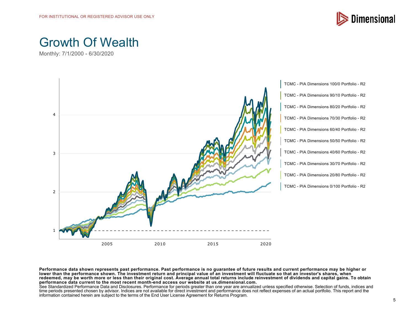

# Growth Of Wealth

Monthly: 7/1/2000 - 6/30/2020



**Performance data shown represents past performance. Past performance is no guarantee of future results and current performance may be higher or lower than the performance shown. The investment return and principal value of an investment will fluctuate so that an investor's shares, when redeemed, may be worth more or less than their original cost. Average annual total returns include reinvestment of dividends and capital gains. To obtain performance data current to the most recent month-end access our website at us.dimensional.com.**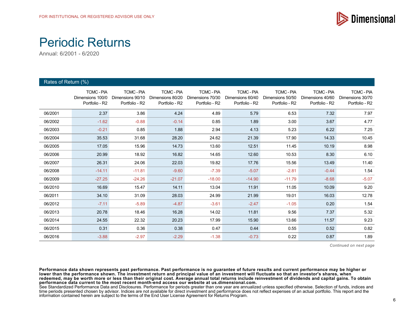

#### Periodic Returns

Annual: 6/2001 - 6/2020

| Rates of Return (%) |                                                       |                                                       |                                                       |                                                         |                                                         |                                                       |                                                       |                                                       |
|---------------------|-------------------------------------------------------|-------------------------------------------------------|-------------------------------------------------------|---------------------------------------------------------|---------------------------------------------------------|-------------------------------------------------------|-------------------------------------------------------|-------------------------------------------------------|
|                     | <b>TCMC-PIA</b><br>Dimensions 100/0<br>Portfolio - R2 | <b>TCMC-PIA</b><br>Dimensions 90/10<br>Portfolio - R2 | <b>TCMC-PIA</b><br>Dimensions 80/20<br>Portfolio - R2 | <b>TCMC - PIA</b><br>Dimensions 70/30<br>Portfolio - R2 | <b>TCMC - PIA</b><br>Dimensions 60/40<br>Portfolio - R2 | <b>TCMC-PIA</b><br>Dimensions 50/50<br>Portfolio - R2 | <b>TCMC-PIA</b><br>Dimensions 40/60<br>Portfolio - R2 | <b>TCMC-PIA</b><br>Dimensions 30/70<br>Portfolio - R2 |
| 06/2001             | 2.37                                                  | 3.86                                                  | 4.24                                                  | 4.89                                                    | 5.79                                                    | 6.53                                                  | 7.32                                                  | 7.97                                                  |
| 06/2002             | $-1.62$                                               | $-0.88$                                               | $-0.14$                                               | 0.85                                                    | 1.89                                                    | 3.00                                                  | 3.67                                                  | 4.77                                                  |
| 06/2003             | $-0.21$                                               | 0.85                                                  | 1.88                                                  | 2.94                                                    | 4.13                                                    | 5.23                                                  | 6.22                                                  | 7.25                                                  |
| 06/2004             | 35.53                                                 | 31.68                                                 | 28.20                                                 | 24.62                                                   | 21.39                                                   | 17.90                                                 | 14.33                                                 | 10.45                                                 |
| 06/2005             | 17.05                                                 | 15.96                                                 | 14.73                                                 | 13.60                                                   | 12.51                                                   | 11.45                                                 | 10.19                                                 | 8.98                                                  |
| 06/2006             | 20.99                                                 | 18.92                                                 | 16.82                                                 | 14.65                                                   | 12.60                                                   | 10.53                                                 | 8.30                                                  | 6.10                                                  |
| 06/2007             | 26.31                                                 | 24.06                                                 | 22.03                                                 | 19.82                                                   | 17.76                                                   | 15.56                                                 | 13.49                                                 | 11.40                                                 |
| 06/2008             | $-14.11$                                              | $-11.81$                                              | $-9.60$                                               | $-7.39$                                                 | $-5.07$                                                 | $-2.81$                                               | $-0.44$                                               | 1.54                                                  |
| 06/2009             | $-27.25$                                              | $-24.26$                                              | $-21.07$                                              | $-18.00$                                                | $-14.90$                                                | $-11.79$                                              | $-8.68$                                               | $-5.07$                                               |
| 06/2010             | 16.69                                                 | 15.47                                                 | 14.11                                                 | 13.04                                                   | 11.91                                                   | 11.05                                                 | 10.09                                                 | 9.20                                                  |
| 06/2011             | 34.10                                                 | 31.09                                                 | 28.03                                                 | 24.99                                                   | 21.99                                                   | 19.01                                                 | 16.03                                                 | 12.78                                                 |
| 06/2012             | $-7.11$                                               | $-5.89$                                               | $-4.87$                                               | $-3.61$                                                 | $-2.47$                                                 | $-1.05$                                               | 0.20                                                  | 1.54                                                  |
| 06/2013             | 20.78                                                 | 18.46                                                 | 16.28                                                 | 14.02                                                   | 11.81                                                   | 9.56                                                  | 7.37                                                  | 5.32                                                  |
| 06/2014             | 24.55                                                 | 22.32                                                 | 20.23                                                 | 17.99                                                   | 15.90                                                   | 13.66                                                 | 11.57                                                 | 9.23                                                  |
| 06/2015             | 0.31                                                  | 0.36                                                  | 0.38                                                  | 0.47                                                    | 0.44                                                    | 0.55                                                  | 0.52                                                  | 0.82                                                  |
| 06/2016             | $-3.88$                                               | $-2.97$                                               | $-2.29$                                               | $-1.38$                                                 | $-0.73$                                                 | 0.22                                                  | 0.87                                                  | 1.89                                                  |

*Continued on next page*

**Performance data shown represents past performance. Past performance is no guarantee of future results and current performance may be higher or lower than the performance shown. The investment return and principal value of an investment will fluctuate so that an investor's shares, when redeemed, may be worth more or less than their original cost. Average annual total returns include reinvestment of dividends and capital gains. To obtain performance data current to the most recent month-end access our website at us.dimensional.com.**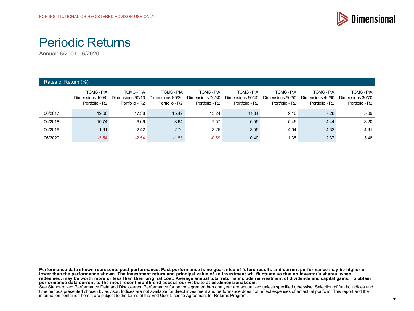

## Periodic Returns

Annual: 6/2001 - 6/2020

| Rates of Return (%) |                                                       |                                                       |                                                       |                                                       |                                                       |                                                       |                                                       |                                                       |
|---------------------|-------------------------------------------------------|-------------------------------------------------------|-------------------------------------------------------|-------------------------------------------------------|-------------------------------------------------------|-------------------------------------------------------|-------------------------------------------------------|-------------------------------------------------------|
|                     | <b>TCMC-PIA</b><br>Dimensions 100/0<br>Portfolio - R2 | <b>TCMC-PIA</b><br>Dimensions 90/10<br>Portfolio - R2 | <b>TCMC-PIA</b><br>Dimensions 80/20<br>Portfolio - R2 | <b>TCMC-PIA</b><br>Dimensions 70/30<br>Portfolio - R2 | <b>TCMC-PIA</b><br>Dimensions 60/40<br>Portfolio - R2 | <b>TCMC-PIA</b><br>Dimensions 50/50<br>Portfolio - R2 | <b>TCMC-PIA</b><br>Dimensions 40/60<br>Portfolio - R2 | <b>TCMC-PIA</b><br>Dimensions 30/70<br>Portfolio - R2 |
| 06/2017             | 19.60                                                 | 17.38                                                 | 15.42                                                 | 13.24                                                 | 11.34                                                 | 9.16                                                  | 7.28                                                  | 5.09                                                  |
| 06/2018             | 10.74                                                 | 9.69                                                  | 8.64                                                  | 7.57                                                  | 6.55                                                  | 5.46                                                  | 4.44                                                  | 3.20                                                  |
| 06/2019             | 1.91                                                  | 2.42                                                  | 2.76                                                  | 3.25                                                  | 3.55                                                  | 4.04                                                  | 4.32                                                  | 4.91                                                  |
| 06/2020             | $-3.54$                                               | $-2.54$                                               | $-1.55$                                               | $-0.59$                                               | 0.40                                                  | 1.38                                                  | 2.37                                                  | 3.48                                                  |

**Performance data shown represents past performance. Past performance is no guarantee of future results and current performance may be higher or lower than the performance shown. The investment return and principal value of an investment will fluctuate so that an investor's shares, when redeemed, may be worth more or less than their original cost. Average annual total returns include reinvestment of dividends and capital gains. To obtain performance data current to the most recent month-end access our website at us.dimensional.com.**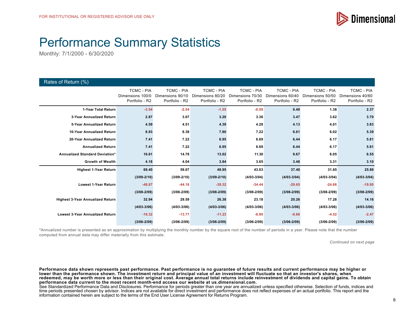

# Performance Summary Statistics

Monthly: 7/1/2000 - 6/30/2020

| Rates of Return (%)                     |                                                         |                                                         |                                                         |                                                         |                                                         |                                                         |                                                         |
|-----------------------------------------|---------------------------------------------------------|---------------------------------------------------------|---------------------------------------------------------|---------------------------------------------------------|---------------------------------------------------------|---------------------------------------------------------|---------------------------------------------------------|
|                                         | <b>TCMC - PIA</b><br>Dimensions 100/0<br>Portfolio - R2 | <b>TCMC - PIA</b><br>Dimensions 90/10<br>Portfolio - R2 | <b>TCMC - PIA</b><br>Dimensions 80/20<br>Portfolio - R2 | <b>TCMC - PIA</b><br>Dimensions 70/30<br>Portfolio - R2 | <b>TCMC - PIA</b><br>Dimensions 60/40<br>Portfolio - R2 | <b>TCMC - PIA</b><br>Dimensions 50/50<br>Portfolio - R2 | <b>TCMC - PIA</b><br>Dimensions 40/60<br>Portfolio - R2 |
| 1-Year Total Return                     | $-3.54$                                                 | $-2.54$                                                 | $-1.55$                                                 | $-0.59$                                                 | 0.40                                                    | 1.38                                                    | 2.37                                                    |
| 3-Year Annualized Return                | 2.87                                                    | 3.07                                                    | 3.20                                                    | 3.36                                                    | 3.47                                                    | 3.62                                                    | 3.70                                                    |
| 5-Year Annualized Return                | 4.59                                                    | 4.51                                                    | 4.39                                                    | 4.28                                                    | 4.13                                                    | 4.01                                                    | 3.83                                                    |
| 10-Year Annualized Return               | 8.93                                                    | 8.38                                                    | 7.80                                                    | 7.22                                                    | 6.61                                                    | 6.02                                                    | 5.39                                                    |
| 20-Year Annualized Return               | 7.41                                                    | 7.22                                                    | 6.95                                                    | 6.69                                                    | 6.44                                                    | 6.17                                                    | 5.81                                                    |
| <b>Annualized Return</b>                | 7.41                                                    | 7.22                                                    | 6.95                                                    | 6.69                                                    | 6.44                                                    | 6.17                                                    | 5.81                                                    |
| Annualized Standard Deviation*          | 16.61                                                   | 14.78                                                   | 13.02                                                   | 11.30                                                   | 9.67                                                    | 8.05                                                    | 6.55                                                    |
| <b>Growth of Wealth</b>                 | 4.18                                                    | 4.04                                                    | 3.84                                                    | 3.65                                                    | 3.48                                                    | 3.31                                                    | 3.10                                                    |
| <b>Highest 1-Year Return</b>            | 69.40                                                   | 59.07                                                   | 49.95                                                   | 43.03                                                   | 37.40                                                   | 31.65                                                   | 25.89                                                   |
|                                         | $(3/09 - 2/10)$                                         | $(3/09 - 2/10)$                                         | $(3/09 - 2/10)$                                         | $(4/03 - 3/04)$                                         | $(4/03 - 3/04)$                                         | $(4/03 - 3/04)$                                         | $(4/03 - 3/04)$                                         |
| <b>Lowest 1-Year Return</b>             | $-48.87$                                                | $-44.18$                                                | $-39.32$                                                | $-34.44$                                                | $-29.65$                                                | $-24.66$                                                | $-19.80$                                                |
|                                         | $(3/08 - 2/09)$                                         | $(3/08 - 2/09)$                                         | $(3/08 - 2/09)$                                         | $(3/08 - 2/09)$                                         | $(3/08 - 2/09)$                                         | $(3/08 - 2/09)$                                         | $(3/08 - 2/09)$                                         |
| <b>Highest 3-Year Annualized Return</b> | 32.94                                                   | 29.59                                                   | 26.38                                                   | 23.18                                                   | 20.26                                                   | 17.28                                                   | 14.16                                                   |
|                                         | $(4/03 - 3/06)$                                         | $(4/03 - 3/06)$                                         | $(4/03 - 3/06)$                                         | $(4/03 - 3/06)$                                         | $(4/03 - 3/06)$                                         | $(4/03 - 3/06)$                                         | $(4/03 - 3/06)$                                         |
| <b>Lowest 3-Year Annualized Return</b>  | $-16.32$                                                | $-13.77$                                                | $-11.23$                                                | $-8.90$                                                 | $-6.66$                                                 | $-4.52$                                                 | $-2.47$                                                 |
|                                         | $(3/06 - 2/09)$                                         | $(3/06 - 2/09)$                                         | $(3/06 - 2/09)$                                         | $(3/06 - 2/09)$                                         | $(3/06 - 2/09)$                                         | $(3/06 - 2/09)$                                         | $(3/06 - 2/09)$                                         |

\*Annualized number is presented as an approximation by multiplying the monthly number by the square root of the number of periods in a year. Please note that the number computed from annual data may differ materially from this estimate.

*Continued on next page*

**Performance data shown represents past performance. Past performance is no guarantee of future results and current performance may be higher or lower than the performance shown. The investment return and principal value of an investment will fluctuate so that an investor's shares, when redeemed, may be worth more or less than their original cost. Average annual total returns include reinvestment of dividends and capital gains. To obtain performance data current to the most recent month-end access our website at us.dimensional.com.**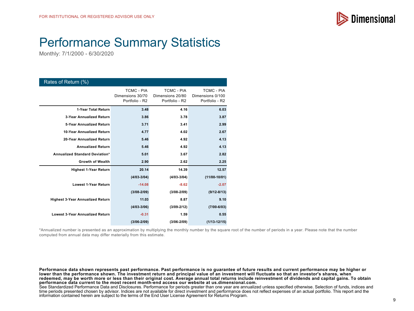

# Performance Summary Statistics

Monthly: 7/1/2000 - 6/30/2020

| Rates of Return (%)                     |                                                         |                                                         |                                                         |
|-----------------------------------------|---------------------------------------------------------|---------------------------------------------------------|---------------------------------------------------------|
|                                         | <b>TCMC - PIA</b><br>Dimensions 30/70<br>Portfolio - R2 | <b>TCMC - PIA</b><br>Dimensions 20/80<br>Portfolio - R2 | <b>TCMC - PIA</b><br>Dimensions 0/100<br>Portfolio - R2 |
| 1-Year Total Return                     | 3.48                                                    | 4.16                                                    | 6.03                                                    |
| 3-Year Annualized Return                | 3.86                                                    | 3.78                                                    | 3.87                                                    |
| 5-Year Annualized Return                | 3.71                                                    | 3.41                                                    | 2.99                                                    |
| 10-Year Annualized Return               | 4.77                                                    | 4.02                                                    | 2.67                                                    |
| 20-Year Annualized Return               | 5.46                                                    | 4.92                                                    | 4.13                                                    |
| <b>Annualized Return</b>                | 5.46                                                    | 4.92                                                    | 4.13                                                    |
| Annualized Standard Deviation*          | 5.01                                                    | 3.67                                                    | 2.82                                                    |
| <b>Growth of Wealth</b>                 | 2.90                                                    | 2.62                                                    | 2.25                                                    |
| <b>Highest 1-Year Return</b>            | 20.14                                                   | 14.39                                                   | 12.57                                                   |
|                                         | $(4/03 - 3/04)$                                         | $(4/03 - 3/04)$                                         | $(11/00-10/01)$                                         |
| <b>Lowest 1-Year Return</b>             | $-14.08$                                                | $-8.62$                                                 | $-2.07$                                                 |
|                                         | $(3/08 - 2/09)$                                         | $(3/08 - 2/09)$                                         | $(9/12 - 8/13)$                                         |
| <b>Highest 3-Year Annualized Return</b> | 11.03                                                   | 8.87                                                    | 9.10                                                    |
|                                         | $(4/03 - 3/06)$                                         | $(3/09 - 2/12)$                                         | $(7/00 - 6/03)$                                         |
| <b>Lowest 3-Year Annualized Return</b>  | $-0.31$                                                 | 1.59                                                    | 0.55                                                    |
|                                         | $(3/06 - 2/09)$                                         | $(3/06 - 2/09)$                                         | $(1/13 - 12/15)$                                        |

\*Annualized number is presented as an approximation by multiplying the monthly number by the square root of the number of periods in a year. Please note that the number computed from annual data may differ materially from this estimate.

**Performance data shown represents past performance. Past performance is no guarantee of future results and current performance may be higher or** lower than the performance shown. The investment return and principal value of an investment will fluctuate so that an investor's shares, when **redeemed, may be worth more or less than their original cost. Average annual total returns include reinvestment of dividends and capital gains. To obtain performance data current to the most recent month-end access our website at us.dimensional.com.**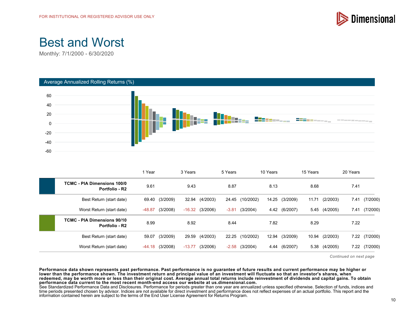

# Best and Worst

Monthly: 7/1/2000 - 6/30/2020



|                                                      | 1 Year   |          | 3 Years  |                   | 5 Years |                  | 10 Years |                | 15 Years |                | 20 Years |          |
|------------------------------------------------------|----------|----------|----------|-------------------|---------|------------------|----------|----------------|----------|----------------|----------|----------|
| <b>TCMC - PIA Dimensions 100/0</b><br>Portfolio - R2 | 9.61     |          | 9.43     |                   | 8.87    |                  | 8.13     |                | 8.68     |                | 7.41     |          |
| Best Return (start date)                             | 69.40    | (3/2009) |          | 32.94 (4/2003)    |         | 24.45 (10/2002)  |          | 14.25 (3/2009) | 11.71    | (2/2003)       | 7.41     | (7/2000) |
| Worst Return (start date)                            | $-48.87$ | (3/2008) |          | $-16.32$ (3/2006) | $-3.81$ | (3/2004)         |          | 4.42 (6/2007)  | 5.45     | (4/2005)       | 7.41     | (7/2000) |
| <b>TCMC - PIA Dimensions 90/10</b><br>Portfolio - R2 | 8.99     |          | 8.92     |                   | 8.44    |                  | 7.82     |                | 8.29     |                | 7.22     |          |
| Best Return (start date)                             | 59.07    | (3/2009) | 29.59    | (4/2003)          |         | 22.25 (10/2002)  | 12.94    | (3/2009)       |          | 10.94 (2/2003) | 7.22     | (7/2000) |
| Worst Return (start date)                            | -44.18   | (3/2008) | $-13.77$ | (3/2006)          |         | $-2.58$ (3/2004) |          | 4.44 (6/2007)  | 5.38     | (4/2005)       | 7.22     | (7/2000) |

*Continued on next page*

**Performance data shown represents past performance. Past performance is no guarantee of future results and current performance may be higher or** lower than the performance shown. The investment return and principal value of an investment will fluctuate so that an investor's shares, when **redeemed, may be worth more or less than their original cost. Average annual total returns include reinvestment of dividends and capital gains. To obtain performance data current to the most recent month-end access our website at us.dimensional.com.**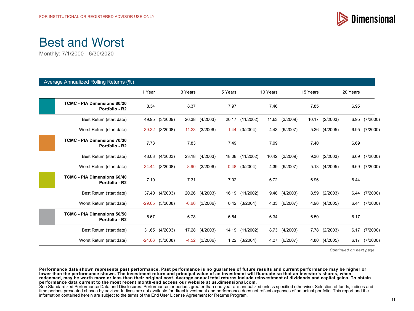

# Best and Worst

Monthly: 7/1/2000 - 6/30/2020

| Average Annualized Rolling Returns (%)               |          |                   |         |                    |         |                  |          |                |          |               |          |               |
|------------------------------------------------------|----------|-------------------|---------|--------------------|---------|------------------|----------|----------------|----------|---------------|----------|---------------|
|                                                      | 1 Year   |                   | 3 Years |                    | 5 Years |                  | 10 Years |                | 15 Years |               | 20 Years |               |
| <b>TCMC - PIA Dimensions 80/20</b><br>Portfolio - R2 | 8.34     |                   | 8.37    |                    | 7.97    |                  | 7.46     |                | 7.85     |               | 6.95     |               |
| Best Return (start date)                             | 49.95    | (3/2009)          |         | 26.38 (4/2003)     |         | 20.17 (11/2002)  | 11.63    | (3/2009)       | 10.17    | (2/2003)      | 6.95     | (7/2000)      |
| Worst Return (start date)                            | -39.32   | (3/2008)          |         | $-11.23$ (3/2006)  |         | $-1.44$ (3/2004) |          | 4.43 (6/2007)  | 5.26     | (4/2005)      |          | 6.95 (7/2000) |
| <b>TCMC - PIA Dimensions 70/30</b><br>Portfolio - R2 | 7.73     |                   | 7.83    |                    | 7.49    |                  | 7.09     |                | 7.40     |               | 6.69     |               |
| Best Return (start date)                             | 43.03    | (4/2003)          |         | 23.18 (4/2003)     |         | 18.08 (11/2002)  |          | 10.42 (3/2009) | 9.36     | (2/2003)      | 6.69     | (7/2000)      |
| Worst Return (start date)                            |          | $-34.44$ (3/2008) |         | $-8.90$ $(3/2006)$ |         | $-0.48$ (3/2004) |          | 4.39 (6/2007)  |          | 5.13 (4/2005) |          | 6.69 (7/2000) |
| <b>TCMC - PIA Dimensions 60/40</b><br>Portfolio - R2 | 7.19     |                   | 7.31    |                    | 7.02    |                  | 6.72     |                | 6.96     |               | 6.44     |               |
| Best Return (start date)                             | 37.40    | (4/2003)          |         | 20.26 (4/2003)     |         | 16.19 (11/2002)  |          | 9.48 (4/2003)  | 8.59     | (2/2003)      |          | 6.44 (7/2000) |
| Worst Return (start date)                            | $-29.65$ | (3/2008)          | $-6.66$ | (3/2006)           |         | $0.42$ (3/2004)  | 4.33     | (6/2007)       | 4.96     | (4/2005)      | 6.44     | (7/2000)      |
| <b>TCMC - PIA Dimensions 50/50</b><br>Portfolio - R2 | 6.67     |                   | 6.78    |                    | 6.54    |                  | 6.34     |                | 6.50     |               | 6.17     |               |
| Best Return (start date)                             | 31.65    | (4/2003)          | 17.28   | (4/2003)           | 14.19   | (11/2002)        | 8.73     | (4/2003)       | 7.78     | (2/2003)      | 6.17     | (7/2000)      |
| Worst Return (start date)                            | -24.66   | (3/2008)          |         | $-4.52$ (3/2006)   |         | 1.22 (3/2004)    |          | 4.27 (6/2007)  |          | 4.80 (4/2005) | 6.17     | (7/2000)      |

*Continued on next page*

**Performance data shown represents past performance. Past performance is no guarantee of future results and current performance may be higher or lower than the performance shown. The investment return and principal value of an investment will fluctuate so that an investor's shares, when redeemed, may be worth more or less than their original cost. Average annual total returns include reinvestment of dividends and capital gains. To obtain performance data current to the most recent month-end access our website at us.dimensional.com.**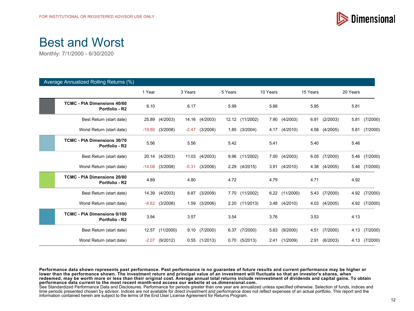

# Best and Worst

Monthly: 7/1/2000 - 6/30/2020

| Average Annualized Rolling Returns (%)               |          |           |         |                   |         |                   |          |               |          |          |          |               |
|------------------------------------------------------|----------|-----------|---------|-------------------|---------|-------------------|----------|---------------|----------|----------|----------|---------------|
|                                                      | 1 Year   |           | 3 Years |                   | 5 Years |                   | 10 Years |               | 15 Years |          | 20 Years |               |
| <b>TCMC - PIA Dimensions 40/60</b><br>Portfolio - R2 | 6.10     |           | 6.17    |                   | 5.99    |                   | 5.88     |               | 5.95     |          | 5.81     |               |
| Best Return (start date)                             | 25.89    | (4/2003)  |         | 14.16 (4/2003)    |         | 12.12 (11/2002)   |          | 7.90 (4/2003) | 6.91     | (2/2003) | 5.81     | (7/2000)      |
| Worst Return (start date)                            | $-19.80$ | (3/2008)  |         | $-2.47$ (3/2006)  |         | 1.85 (3/2004)     |          | 4.17 (4/2010) | 4.58     | (4/2005) |          | 5.81 (7/2000) |
| <b>TCMC - PIA Dimensions 30/70</b><br>Portfolio - R2 | 5.56     |           | 5.56    |                   | 5.42    |                   | 5.41     |               | 5.40     |          | 5.46     |               |
| Best Return (start date)                             | 20.14    | (4/2003)  | 11.03   | (4/2003)          |         | 9.96 (11/2002)    |          | 7.00 (4/2003) | 6.05     | (7/2000) | 5.46     | (7/2000)      |
| Worst Return (start date)                            | $-14.08$ | (3/2008)  | $-0.31$ | (3/2006)          |         | 2.29 (4/2015)     |          | 3.91 (4/2010) | 4.38     | (4/2005) | 5.46     | (7/2000)      |
| <b>TCMC - PIA Dimensions 20/80</b><br>Portfolio - R2 | 4.89     |           | 4.80    |                   | 4.72    |                   | 4.79     |               | 4.71     |          | 4.92     |               |
| Best Return (start date)                             | 14.39    | (4/2003)  | 8.87    | (3/2009)          |         | 7.70 (11/2002)    | 6.22     | (11/2000)     | 5.43     | (7/2000) | 4.92     | (7/2000)      |
| Worst Return (start date)                            | $-8.62$  | (3/2008)  | 1.59    | (3/2006)          |         | 2.20 (11/2013)    |          | 3.48 (4/2010) | 4.03     | (4/2005) |          | 4.92 (7/2000) |
| <b>TCMC - PIA Dimensions 0/100</b><br>Portfolio - R2 | 3.94     |           | 3.57    |                   | 3.54    |                   | 3.76     |               | 3.53     |          | 4.13     |               |
| Best Return (start date)                             | 12.57    | (11/2000) | 9.10    | (7/2000)          | 6.37    | (7/2000)          | 5.63     | (9/2000)      | 4.51     | (7/2000) | 4.13     | (7/2000)      |
| Worst Return (start date)                            | $-2.07$  | (9/2012)  |         | $0.55$ $(1/2013)$ |         | $0.70$ $(5/2013)$ |          | 2.41 (1/2009) | 2.91     | (6/2003) | 4.13     | (7/2000)      |

**Performance data shown represents past performance. Past performance is no guarantee of future results and current performance may be higher or lower than the performance shown. The investment return and principal value of an investment will fluctuate so that an investor's shares, when redeemed, may be worth more or less than their original cost. Average annual total returns include reinvestment of dividends and capital gains. To obtain performance data current to the most recent month-end access our website at us.dimensional.com.**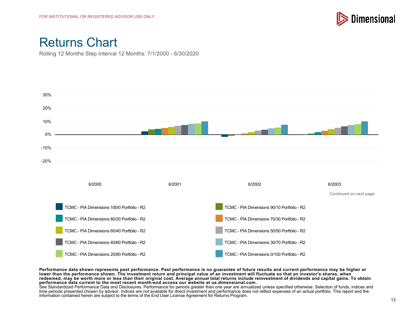

Rolling 12 Months Step Interval 12 Months: 7/1/2000 - 6/30/2020



**Performance data shown represents past performance. Past performance is no guarantee of future results and current performance may be higher or** lower than the performance shown. The investment return and principal value of an investment will fluctuate so that an investor's shares, when **redeemed, may be worth more or less than their original cost. Average annual total returns include reinvestment of dividends and capital gains. To obtain performance data current to the most recent month-end access our website at us.dimensional.com.**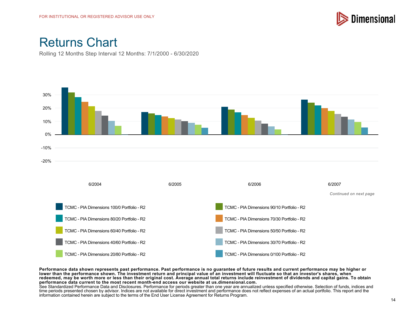

Rolling 12 Months Step Interval 12 Months: 7/1/2000 - 6/30/2020



**Performance data shown represents past performance. Past performance is no guarantee of future results and current performance may be higher or lower than the performance shown. The investment return and principal value of an investment will fluctuate so that an investor's shares, when redeemed, may be worth more or less than their original cost. Average annual total returns include reinvestment of dividends and capital gains. To obtain performance data current to the most recent month-end access our website at us.dimensional.com.**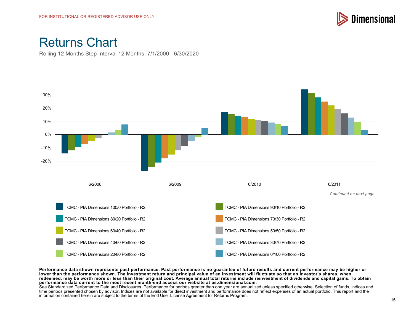

Rolling 12 Months Step Interval 12 Months: 7/1/2000 - 6/30/2020



**Performance data shown represents past performance. Past performance is no guarantee of future results and current performance may be higher or** lower than the performance shown. The investment return and principal value of an investment will fluctuate so that an investor's shares, when **redeemed, may be worth more or less than their original cost. Average annual total returns include reinvestment of dividends and capital gains. To obtain performance data current to the most recent month-end access our website at us.dimensional.com.**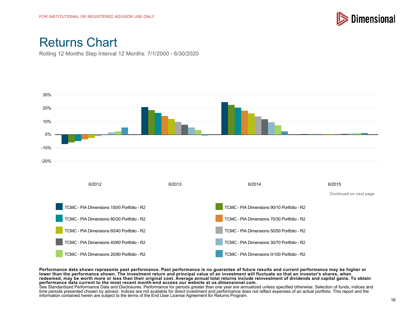

Rolling 12 Months Step Interval 12 Months: 7/1/2000 - 6/30/2020



**Performance data shown represents past performance. Past performance is no guarantee of future results and current performance may be higher or** lower than the performance shown. The investment return and principal value of an investment will fluctuate so that an investor's shares, when **redeemed, may be worth more or less than their original cost. Average annual total returns include reinvestment of dividends and capital gains. To obtain performance data current to the most recent month-end access our website at us.dimensional.com.**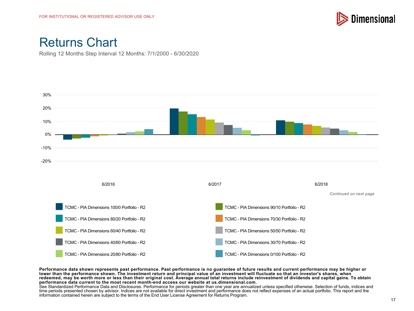

Rolling 12 Months Step Interval 12 Months: 7/1/2000 - 6/30/2020



**Performance data shown represents past performance. Past performance is no guarantee of future results and current performance may be higher or lower than the performance shown. The investment return and principal value of an investment will fluctuate so that an investor's shares, when redeemed, may be worth more or less than their original cost. Average annual total returns include reinvestment of dividends and capital gains. To obtain performance data current to the most recent month-end access our website at us.dimensional.com.**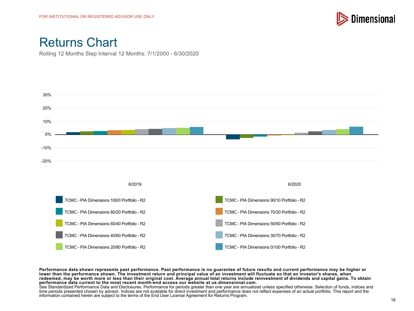

Rolling 12 Months Step Interval 12 Months: 7/1/2000 - 6/30/2020



**Performance data shown represents past performance. Past performance is no guarantee of future results and current performance may be higher or** lower than the performance shown. The investment return and principal value of an investment will fluctuate so that an investor's shares, when **redeemed, may be worth more or less than their original cost. Average annual total returns include reinvestment of dividends and capital gains. To obtain performance data current to the most recent month-end access our website at us.dimensional.com.**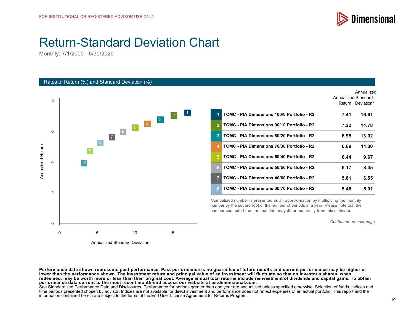

Annualized

# Return-Standard Deviation Chart

Monthly: 7/1/2000 - 6/30/2020

#### Rates of Return (%) and Standard Deviation (%)



|                |                                            | Annualized Standard |                   |
|----------------|--------------------------------------------|---------------------|-------------------|
|                |                                            |                     | Return Deviation* |
| 1              | TCMC - PIA Dimensions 100/0 Portfolio - R2 | 7.41                | 16.61             |
| $\overline{2}$ | TCMC - PIA Dimensions 90/10 Portfolio - R2 | 7.22                | 14.78             |
| 3              | TCMC - PIA Dimensions 80/20 Portfolio - R2 | 6.95                | 13.02             |
| 4              | TCMC - PIA Dimensions 70/30 Portfolio - R2 | 6.69                | 11.30             |
| 5              | TCMC - PIA Dimensions 60/40 Portfolio - R2 | 6.44                | 9.67              |
| 6.             | TCMC - PIA Dimensions 50/50 Portfolio - R2 | 6.17                | 8.05              |
| 7              | TCMC - PIA Dimensions 40/60 Portfolio - R2 | 5.81                | 6.55              |
| 8              | TCMC - PIA Dimensions 30/70 Portfolio - R2 | 5.46                | 5.01              |
|                |                                            |                     |                   |

\*Annualized number is presented as an approximation by multiplying the monthly number by the square root of the number of periods in a year. Please note that the number computed from annual data may differ materially from this estimate.

*Continued on next page*

**Performance data shown represents past performance. Past performance is no guarantee of future results and current performance may be higher or** lower than the performance shown. The investment return and principal value of an investment will fluctuate so that an investor's shares, when **redeemed, may be worth more or less than their original cost. Average annual total returns include reinvestment of dividends and capital gains. To obtain performance data current to the most recent month-end access our website at us.dimensional.com.**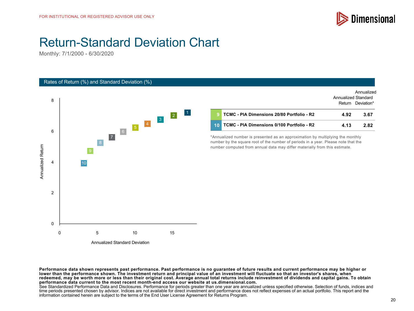

Annualized

# Return-Standard Deviation Chart

Monthly: 7/1/2000 - 6/30/2020

#### Rates of Return (%) and Standard Deviation (%)



|                 |                                            | Annualized Standard |                   |
|-----------------|--------------------------------------------|---------------------|-------------------|
|                 |                                            |                     | Return Deviation* |
|                 | TCMC - PIA Dimensions 20/80 Portfolio - R2 | 4.92                | 3.67              |
| 10 <sup>1</sup> | TCMC - PIA Dimensions 0/100 Portfolio - R2 | 4.13                | 2.82              |

\*Annualized number is presented as an approximation by multiplying the monthly number by the square root of the number of periods in a year. Please note that the number computed from annual data may differ materially from this estimate.

**Performance data shown represents past performance. Past performance is no guarantee of future results and current performance may be higher or lower than the performance shown. The investment return and principal value of an investment will fluctuate so that an investor's shares, when redeemed, may be worth more or less than their original cost. Average annual total returns include reinvestment of dividends and capital gains. To obtain performance data current to the most recent month-end access our website at us.dimensional.com.**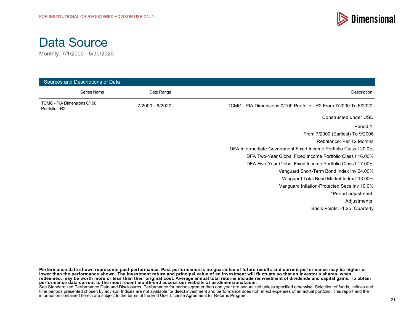



| Sources and Descriptions of Data              |             |                 |                                                                  |  |
|-----------------------------------------------|-------------|-----------------|------------------------------------------------------------------|--|
|                                               | Series Name | Date Range      | Description                                                      |  |
| TCMC - PIA Dimensions 0/100<br>Portfolio - R2 |             | 7/2000 - 6/2020 | TCMC - PIA Dimensions 0/100 Portfolio - R2 From 7/2000 To 6/2020 |  |
|                                               |             |                 | Constructed under USD                                            |  |
|                                               |             |                 | Period 1:                                                        |  |
|                                               |             |                 | From 7/2000 (Earliest) To 9/2006                                 |  |
|                                               |             |                 | Rebalance: Per 12 Months                                         |  |
|                                               |             |                 | DFA Intermediate Government Fixed Income Portfolio Class I 20.0% |  |
|                                               |             |                 | DFA Two-Year Global Fixed Income Portfolio Class I 16.00%        |  |
|                                               |             |                 | DFA Five-Year Global Fixed Income Portfolio Class I 17.00%       |  |
|                                               |             |                 | Vanguard Short-Term Bond Index Inv 24.00%                        |  |
|                                               |             |                 | Vanguard Total Bond Market Index I 13.00%                        |  |
|                                               |             |                 | Vanguard Inflation-Protected Secs Inv 10.0%                      |  |
|                                               |             |                 | *Period adjustment:                                              |  |
|                                               |             |                 | Adjustments:                                                     |  |
|                                               |             |                 | Basis Points: -1.25, Quarterly                                   |  |

**Performance data shown represents past performance. Past performance is no guarantee of future results and current performance may be higher or lower than the performance shown. The investment return and principal value of an investment will fluctuate so that an investor's shares, when redeemed, may be worth more or less than their original cost. Average annual total returns include reinvestment of dividends and capital gains. To obtain performance data current to the most recent month-end access our website at us.dimensional.com.**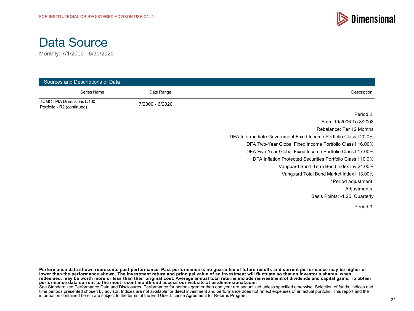



| Sources and Descriptions of Data                          |             |                 |                                                                  |  |
|-----------------------------------------------------------|-------------|-----------------|------------------------------------------------------------------|--|
|                                                           | Series Name | Date Range      | Description                                                      |  |
| TCMC - PIA Dimensions 0/100<br>Portfolio - R2 (continued) |             | 7/2000 - 6/2020 |                                                                  |  |
|                                                           |             |                 | Period 2:                                                        |  |
|                                                           |             |                 | From 10/2006 To 8/2008                                           |  |
|                                                           |             |                 | Rebalance: Per 12 Months                                         |  |
|                                                           |             |                 | DFA Intermediate Government Fixed Income Portfolio Class I 20.0% |  |
|                                                           |             |                 | DFA Two-Year Global Fixed Income Portfolio Class I 16.00%        |  |
|                                                           |             |                 | DFA Five-Year Global Fixed Income Portfolio Class I 17.00%       |  |
|                                                           |             |                 | DFA Inflation Protected Securities Portfolio Class I 10.0%       |  |
|                                                           |             |                 | Vanguard Short-Term Bond Index Inv 24.00%                        |  |
|                                                           |             |                 | Vanguard Total Bond Market Index I 13.00%                        |  |
|                                                           |             |                 | *Period adjustment:                                              |  |
|                                                           |             |                 | Adjustments:                                                     |  |
|                                                           |             |                 | Basis Points: -1.25, Quarterly                                   |  |
|                                                           |             |                 | Period 3:                                                        |  |

**Performance data shown represents past performance. Past performance is no guarantee of future results and current performance may be higher or lower than the performance shown. The investment return and principal value of an investment will fluctuate so that an investor's shares, when redeemed, may be worth more or less than their original cost. Average annual total returns include reinvestment of dividends and capital gains. To obtain performance data current to the most recent month-end access our website at us.dimensional.com.**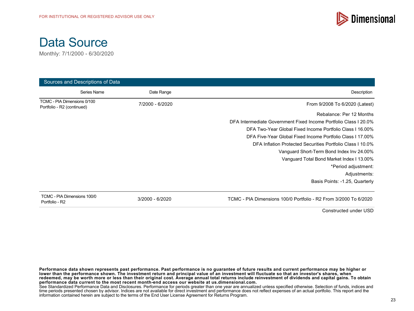



| Sources and Descriptions of Data                          |                   |                                                                  |  |  |
|-----------------------------------------------------------|-------------------|------------------------------------------------------------------|--|--|
| Series Name                                               | Date Range        | Description                                                      |  |  |
| TCMC - PIA Dimensions 0/100<br>Portfolio - R2 (continued) | 7/2000 - 6/2020   | From 9/2008 To 6/2020 (Latest)                                   |  |  |
|                                                           |                   | Rebalance: Per 12 Months                                         |  |  |
|                                                           |                   | DFA Intermediate Government Fixed Income Portfolio Class I 20.0% |  |  |
|                                                           |                   | DFA Two-Year Global Fixed Income Portfolio Class I 16,00%        |  |  |
|                                                           |                   | DFA Five-Year Global Fixed Income Portfolio Class I 17,00%       |  |  |
|                                                           |                   | DFA Inflation Protected Securities Portfolio Class I 10.0%       |  |  |
|                                                           |                   | Vanguard Short-Term Bond Index Inv 24.00%                        |  |  |
|                                                           |                   | Vanguard Total Bond Market Index I 13.00%                        |  |  |
|                                                           |                   | *Period adjustment:                                              |  |  |
|                                                           |                   | Adjustments:                                                     |  |  |
|                                                           |                   | Basis Points: -1.25, Quarterly                                   |  |  |
| TCMC - PIA Dimensions 100/0<br>Portfolio - R2             | $3/2000 - 6/2020$ | TCMC - PIA Dimensions 100/0 Portfolio - R2 From 3/2000 To 6/2020 |  |  |

Constructed under USD

**Performance data shown represents past performance. Past performance is no guarantee of future results and current performance may be higher or lower than the performance shown. The investment return and principal value of an investment will fluctuate so that an investor's shares, when redeemed, may be worth more or less than their original cost. Average annual total returns include reinvestment of dividends and capital gains. To obtain performance data current to the most recent month-end access our website at us.dimensional.com.** See Standardized Performance Data and Disclosures. Performance for periods greater than one year are annualized unless specified otherwise. Selection of funds, indices and time periods presented chosen by advisor. Indices are not available for direct investment and performance does not reflect expenses of an actual portfolio. This report and the information contained herein are subject to the terms of the End User License Agreement for Returns Program.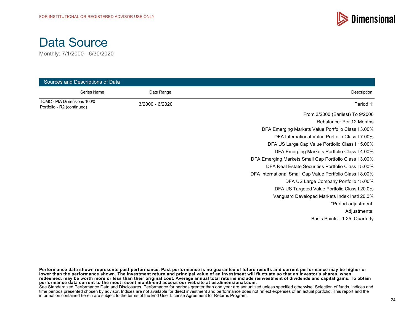



| Sources and Descriptions of Data |                                                           |  |  |  |
|----------------------------------|-----------------------------------------------------------|--|--|--|
| Date Range                       | Description                                               |  |  |  |
| 3/2000 - 6/2020                  | Period 1:                                                 |  |  |  |
|                                  | From 3/2000 (Earliest) To 9/2006                          |  |  |  |
|                                  | Rebalance: Per 12 Months                                  |  |  |  |
|                                  | DFA Emerging Markets Value Portfolio Class I 3.00%        |  |  |  |
|                                  | DFA International Value Portfolio Class 17.00%            |  |  |  |
|                                  | DFA US Large Cap Value Portfolio Class I 15.00%           |  |  |  |
|                                  | DFA Emerging Markets Portfolio Class I 4.00%              |  |  |  |
|                                  | DFA Emerging Markets Small Cap Portfolio Class I 3.00%    |  |  |  |
|                                  | DFA Real Estate Securities Portfolio Class I 5.00%        |  |  |  |
|                                  | DFA International Small Cap Value Portfolio Class I 8.00% |  |  |  |
|                                  | DFA US Large Company Portfolio 15.00%                     |  |  |  |
|                                  | DFA US Targeted Value Portfolio Class I 20.0%             |  |  |  |
|                                  | Vanguard Developed Markets Index Instl 20.0%              |  |  |  |
|                                  | *Period adjustment:                                       |  |  |  |
|                                  | Adjustments:                                              |  |  |  |
|                                  | Basis Points: -1.25, Quarterly                            |  |  |  |
|                                  |                                                           |  |  |  |

**Performance data shown represents past performance. Past performance is no guarantee of future results and current performance may be higher or lower than the performance shown. The investment return and principal value of an investment will fluctuate so that an investor's shares, when redeemed, may be worth more or less than their original cost. Average annual total returns include reinvestment of dividends and capital gains. To obtain performance data current to the most recent month-end access our website at us.dimensional.com.** See Standardized Performance Data and Disclosures. Performance for periods greater than one year are annualized unless specified otherwise. Selection of funds, indices and

time periods presented chosen by advisor. Indices are not available for direct investment and performance does not reflect expenses of an actual portfolio. This report and the information contained herein are subject to the terms of the End User License Agreement for Returns Program.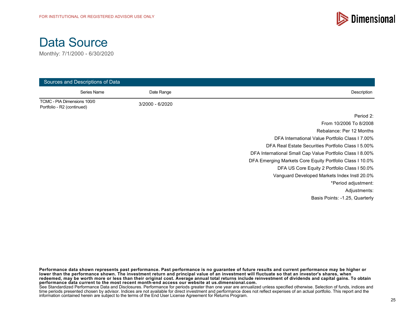



| Sources and Descriptions of Data                          |                 |                                                           |  |  |
|-----------------------------------------------------------|-----------------|-----------------------------------------------------------|--|--|
| Series Name                                               | Date Range      | Description                                               |  |  |
| TCMC - PIA Dimensions 100/0<br>Portfolio - R2 (continued) | 3/2000 - 6/2020 |                                                           |  |  |
|                                                           |                 | Period 2:                                                 |  |  |
|                                                           |                 | From 10/2006 To 8/2008                                    |  |  |
|                                                           |                 | Rebalance: Per 12 Months                                  |  |  |
|                                                           |                 | DFA International Value Portfolio Class I 7.00%           |  |  |
|                                                           |                 | DFA Real Estate Securities Portfolio Class I 5.00%        |  |  |
|                                                           |                 | DFA International Small Cap Value Portfolio Class I 8.00% |  |  |
|                                                           |                 | DFA Emerging Markets Core Equity Portfolio Class I 10.0%  |  |  |
|                                                           |                 | DFA US Core Equity 2 Portfolio Class I 50.0%              |  |  |
|                                                           |                 | Vanguard Developed Markets Index Instl 20.0%              |  |  |
|                                                           |                 | *Period adjustment:                                       |  |  |
|                                                           |                 | Adjustments:                                              |  |  |
|                                                           |                 | Basis Points: -1.25, Quarterly                            |  |  |

**Performance data shown represents past performance. Past performance is no guarantee of future results and current performance may be higher or lower than the performance shown. The investment return and principal value of an investment will fluctuate so that an investor's shares, when redeemed, may be worth more or less than their original cost. Average annual total returns include reinvestment of dividends and capital gains. To obtain performance data current to the most recent month-end access our website at us.dimensional.com.**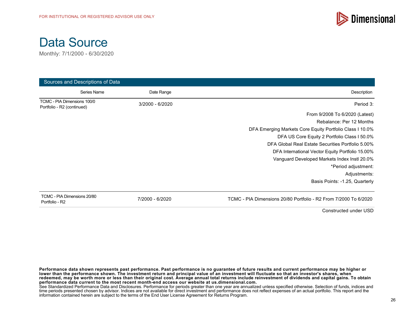



| Sources and Descriptions of Data                          |                 |                                                                  |  |  |
|-----------------------------------------------------------|-----------------|------------------------------------------------------------------|--|--|
| Series Name                                               | Date Range      | Description                                                      |  |  |
| TCMC - PIA Dimensions 100/0<br>Portfolio - R2 (continued) | 3/2000 - 6/2020 | Period 3:                                                        |  |  |
|                                                           |                 | From 9/2008 To 6/2020 (Latest)                                   |  |  |
|                                                           |                 | Rebalance: Per 12 Months                                         |  |  |
|                                                           |                 | DFA Emerging Markets Core Equity Portfolio Class I 10.0%         |  |  |
|                                                           |                 | DFA US Core Equity 2 Portfolio Class I 50.0%                     |  |  |
|                                                           |                 | DFA Global Real Estate Securities Portfolio 5.00%                |  |  |
|                                                           |                 | DFA International Vector Equity Portfolio 15.00%                 |  |  |
|                                                           |                 | Vanguard Developed Markets Index Instl 20.0%                     |  |  |
|                                                           |                 | *Period adjustment:                                              |  |  |
|                                                           |                 | Adjustments:                                                     |  |  |
|                                                           |                 | Basis Points: -1.25, Quarterly                                   |  |  |
| TCMC - PIA Dimensions 20/80<br>Portfolio - R2             | 7/2000 - 6/2020 | TCMC - PIA Dimensions 20/80 Portfolio - R2 From 7/2000 To 6/2020 |  |  |

Constructed under USD

**Performance data shown represents past performance. Past performance is no guarantee of future results and current performance may be higher or lower than the performance shown. The investment return and principal value of an investment will fluctuate so that an investor's shares, when redeemed, may be worth more or less than their original cost. Average annual total returns include reinvestment of dividends and capital gains. To obtain performance data current to the most recent month-end access our website at us.dimensional.com.** See Standardized Performance Data and Disclosures. Performance for periods greater than one year are annualized unless specified otherwise. Selection of funds, indices and time periods presented chosen by advisor. Indices are not available for direct investment and performance does not reflect expenses of an actual portfolio. This report and the information contained herein are subject to the terms of the End User License Agreement for Returns Program.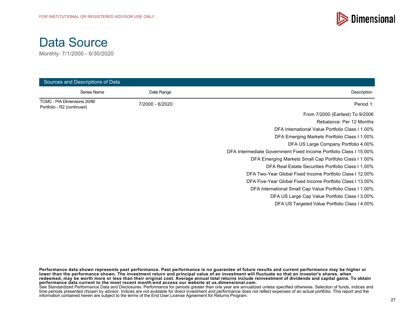



| Sources and Descriptions of Data                          |                 |                                                                   |  |  |
|-----------------------------------------------------------|-----------------|-------------------------------------------------------------------|--|--|
| Series Name                                               | Date Range      | Description                                                       |  |  |
| TCMC - PIA Dimensions 20/80<br>Portfolio - R2 (continued) | 7/2000 - 6/2020 | Period 1:                                                         |  |  |
|                                                           |                 | From 7/2000 (Earliest) To 9/2006                                  |  |  |
|                                                           |                 | Rebalance: Per 12 Months                                          |  |  |
|                                                           |                 | DFA International Value Portfolio Class I 1.00%                   |  |  |
|                                                           |                 | DFA Emerging Markets Portfolio Class I 1.00%                      |  |  |
|                                                           |                 | DFA US Large Company Portfolio 4.00%                              |  |  |
|                                                           |                 | DFA Intermediate Government Fixed Income Portfolio Class I 15.00% |  |  |
|                                                           |                 | DFA Emerging Markets Small Cap Portfolio Class I 1.00%            |  |  |
|                                                           |                 | DFA Real Estate Securities Portfolio Class I 1.00%                |  |  |
|                                                           |                 | DFA Two-Year Global Fixed Income Portfolio Class I 12.00%         |  |  |
|                                                           |                 | DFA Five-Year Global Fixed Income Portfolio Class I 13.00%        |  |  |
|                                                           |                 | DFA International Small Cap Value Portfolio Class 11.00%          |  |  |
|                                                           |                 | DFA US Large Cap Value Portfolio Class 13.00%                     |  |  |
|                                                           |                 | DFA US Targeted Value Portfolio Class I 4.00%                     |  |  |

**Performance data shown represents past performance. Past performance is no guarantee of future results and current performance may be higher or lower than the performance shown. The investment return and principal value of an investment will fluctuate so that an investor's shares, when redeemed, may be worth more or less than their original cost. Average annual total returns include reinvestment of dividends and capital gains. To obtain performance data current to the most recent month-end access our website at us.dimensional.com.**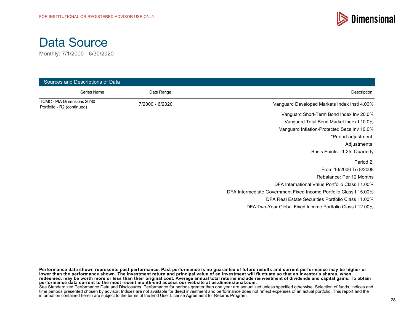



| Sources and Descriptions of Data                          |                 |                                                                   |  |  |
|-----------------------------------------------------------|-----------------|-------------------------------------------------------------------|--|--|
| Series Name                                               | Date Range      | Description                                                       |  |  |
| TCMC - PIA Dimensions 20/80<br>Portfolio - R2 (continued) | 7/2000 - 6/2020 | Vanguard Developed Markets Index Instl 4.00%                      |  |  |
|                                                           |                 | Vanguard Short-Term Bond Index Inv 20.0%                          |  |  |
|                                                           |                 | Vanguard Total Bond Market Index I 10.0%                          |  |  |
|                                                           |                 | Vanguard Inflation-Protected Secs Inv 10.0%                       |  |  |
|                                                           |                 | *Period adjustment:                                               |  |  |
|                                                           |                 | Adjustments:                                                      |  |  |
|                                                           |                 | Basis Points: -1.25, Quarterly                                    |  |  |
|                                                           |                 | Period 2:                                                         |  |  |
|                                                           |                 | From 10/2006 To 8/2008                                            |  |  |
|                                                           |                 | Rebalance: Per 12 Months                                          |  |  |
|                                                           |                 | DFA International Value Portfolio Class I 1.00%                   |  |  |
|                                                           |                 | DFA Intermediate Government Fixed Income Portfolio Class I 15.00% |  |  |
|                                                           |                 | DFA Real Estate Securities Portfolio Class I 1.00%                |  |  |
|                                                           |                 | DFA Two-Year Global Fixed Income Portfolio Class I 12.00%         |  |  |

**Performance data shown represents past performance. Past performance is no guarantee of future results and current performance may be higher or lower than the performance shown. The investment return and principal value of an investment will fluctuate so that an investor's shares, when redeemed, may be worth more or less than their original cost. Average annual total returns include reinvestment of dividends and capital gains. To obtain performance data current to the most recent month-end access our website at us.dimensional.com.**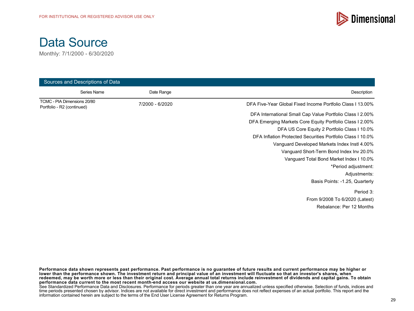

Monthly: 7/1/2000 - 6/30/2020

| Sources and Descriptions of Data                          |                 |                                                            |  |  |
|-----------------------------------------------------------|-----------------|------------------------------------------------------------|--|--|
| Series Name                                               | Date Range      | Description                                                |  |  |
| TCMC - PIA Dimensions 20/80<br>Portfolio - R2 (continued) | 7/2000 - 6/2020 | DFA Five-Year Global Fixed Income Portfolio Class I 13.00% |  |  |
|                                                           |                 | DFA International Small Cap Value Portfolio Class I 2.00%  |  |  |
|                                                           |                 | DFA Emerging Markets Core Equity Portfolio Class I 2.00%   |  |  |
|                                                           |                 | DFA US Core Equity 2 Portfolio Class I 10.0%               |  |  |
|                                                           |                 | DFA Inflation Protected Securities Portfolio Class I 10.0% |  |  |
|                                                           |                 | Vanguard Developed Markets Index Instl 4.00%               |  |  |
|                                                           |                 | Vanguard Short-Term Bond Index Inv 20.0%                   |  |  |
|                                                           |                 | Vanguard Total Bond Market Index I 10.0%                   |  |  |
|                                                           |                 | *Period adjustment:                                        |  |  |
|                                                           |                 | Adjustments:                                               |  |  |
|                                                           |                 | Basis Points: -1.25, Quarterly                             |  |  |
|                                                           |                 | Period 3:                                                  |  |  |
|                                                           |                 | From 9/2008 To 6/2020 (Latest)                             |  |  |
|                                                           |                 | Rebalance: Per 12 Months                                   |  |  |

**Performance data shown represents past performance. Past performance is no guarantee of future results and current performance may be higher or lower than the performance shown. The investment return and principal value of an investment will fluctuate so that an investor's shares, when redeemed, may be worth more or less than their original cost. Average annual total returns include reinvestment of dividends and capital gains. To obtain performance data current to the most recent month-end access our website at us.dimensional.com.**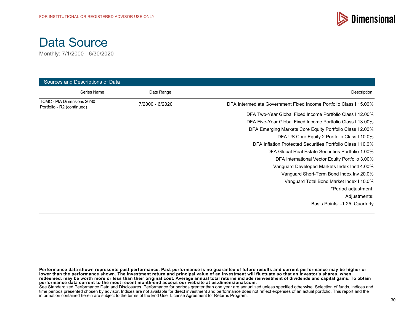

Monthly: 7/1/2000 - 6/30/2020

| Sources and Descriptions of Data                          |                 |                                                                   |  |  |
|-----------------------------------------------------------|-----------------|-------------------------------------------------------------------|--|--|
| Series Name                                               | Date Range      | Description                                                       |  |  |
| TCMC - PIA Dimensions 20/80<br>Portfolio - R2 (continued) | 7/2000 - 6/2020 | DFA Intermediate Government Fixed Income Portfolio Class I 15.00% |  |  |
|                                                           |                 | DFA Two-Year Global Fixed Income Portfolio Class I 12.00%         |  |  |
|                                                           |                 | DFA Five-Year Global Fixed Income Portfolio Class I 13,00%        |  |  |
|                                                           |                 | DFA Emerging Markets Core Equity Portfolio Class 1 2.00%          |  |  |
|                                                           |                 | DFA US Core Equity 2 Portfolio Class I 10.0%                      |  |  |
|                                                           |                 | DFA Inflation Protected Securities Portfolio Class I 10.0%        |  |  |
|                                                           |                 | DFA Global Real Estate Securities Portfolio 1.00%                 |  |  |
|                                                           |                 | DFA International Vector Equity Portfolio 3.00%                   |  |  |
|                                                           |                 | Vanguard Developed Markets Index Instl 4.00%                      |  |  |
|                                                           |                 | Vanguard Short-Term Bond Index Inv 20.0%                          |  |  |
|                                                           |                 | Vanguard Total Bond Market Index I 10.0%                          |  |  |
|                                                           |                 | *Period adjustment:                                               |  |  |
|                                                           |                 | Adjustments:                                                      |  |  |
|                                                           |                 | Basis Points: -1.25, Quarterly                                    |  |  |

**Performance data shown represents past performance. Past performance is no guarantee of future results and current performance may be higher or lower than the performance shown. The investment return and principal value of an investment will fluctuate so that an investor's shares, when redeemed, may be worth more or less than their original cost. Average annual total returns include reinvestment of dividends and capital gains. To obtain performance data current to the most recent month-end access our website at us.dimensional.com.**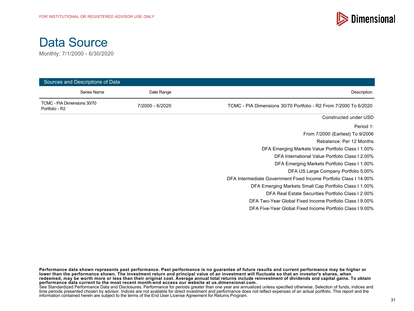



| Sources and Descriptions of Data              |             |                 |                                                                   |  |
|-----------------------------------------------|-------------|-----------------|-------------------------------------------------------------------|--|
|                                               | Series Name | Date Range      | Description                                                       |  |
| TCMC - PIA Dimensions 30/70<br>Portfolio - R2 |             | 7/2000 - 6/2020 | TCMC - PIA Dimensions 30/70 Portfolio - R2 From 7/2000 To 6/2020  |  |
|                                               |             |                 | Constructed under USD                                             |  |
|                                               |             |                 | Period 1:                                                         |  |
|                                               |             |                 | From 7/2000 (Earliest) To 9/2006                                  |  |
|                                               |             |                 | Rebalance: Per 12 Months                                          |  |
|                                               |             |                 | DFA Emerging Markets Value Portfolio Class I 1.00%                |  |
|                                               |             |                 | DFA International Value Portfolio Class I 2.00%                   |  |
|                                               |             |                 | DFA Emerging Markets Portfolio Class I 1.00%                      |  |
|                                               |             |                 | DFA US Large Company Portfolio 5.00%                              |  |
|                                               |             |                 | DFA Intermediate Government Fixed Income Portfolio Class I 14.00% |  |
|                                               |             |                 | DFA Emerging Markets Small Cap Portfolio Class I 1.00%            |  |
|                                               |             |                 | DFA Real Estate Securities Portfolio Class I 2.00%                |  |
|                                               |             |                 | DFA Two-Year Global Fixed Income Portfolio Class I 9.00%          |  |
|                                               |             |                 | DFA Five-Year Global Fixed Income Portfolio Class 19.00%          |  |

**Performance data shown represents past performance. Past performance is no guarantee of future results and current performance may be higher or lower than the performance shown. The investment return and principal value of an investment will fluctuate so that an investor's shares, when redeemed, may be worth more or less than their original cost. Average annual total returns include reinvestment of dividends and capital gains. To obtain performance data current to the most recent month-end access our website at us.dimensional.com.**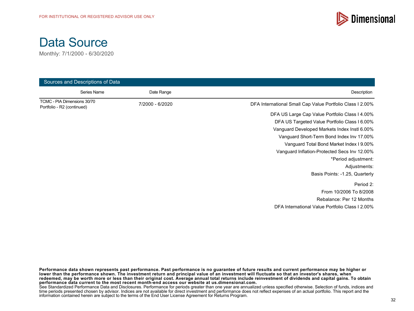



| Sources and Descriptions of Data                          |                 |                                                           |
|-----------------------------------------------------------|-----------------|-----------------------------------------------------------|
| Series Name                                               | Date Range      | Description                                               |
| TCMC - PIA Dimensions 30/70<br>Portfolio - R2 (continued) | 7/2000 - 6/2020 | DFA International Small Cap Value Portfolio Class I 2.00% |
|                                                           |                 | DFA US Large Cap Value Portfolio Class I 4.00%            |
|                                                           |                 | DFA US Targeted Value Portfolio Class I 6.00%             |
|                                                           |                 | Vanguard Developed Markets Index Instl 6.00%              |
|                                                           |                 | Vanguard Short-Term Bond Index Inv 17.00%                 |
|                                                           |                 | Vanguard Total Bond Market Index I 9.00%                  |
|                                                           |                 | Vanguard Inflation-Protected Secs Inv 12.00%              |
|                                                           |                 | *Period adjustment:                                       |
|                                                           |                 | Adjustments:                                              |
|                                                           |                 | Basis Points: -1.25, Quarterly                            |
|                                                           |                 | Period 2:                                                 |
|                                                           |                 | From 10/2006 To 8/2008                                    |
|                                                           |                 | Rebalance: Per 12 Months                                  |
|                                                           |                 | DFA International Value Portfolio Class I 2.00%           |

**Performance data shown represents past performance. Past performance is no guarantee of future results and current performance may be higher or lower than the performance shown. The investment return and principal value of an investment will fluctuate so that an investor's shares, when redeemed, may be worth more or less than their original cost. Average annual total returns include reinvestment of dividends and capital gains. To obtain performance data current to the most recent month-end access our website at us.dimensional.com.**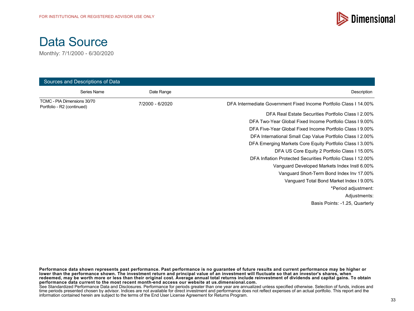

Monthly: 7/1/2000 - 6/30/2020

| Sources and Descriptions of Data                          |                 |                                                                   |
|-----------------------------------------------------------|-----------------|-------------------------------------------------------------------|
| Series Name                                               | Date Range      | Description                                                       |
| TCMC - PIA Dimensions 30/70<br>Portfolio - R2 (continued) | 7/2000 - 6/2020 | DFA Intermediate Government Fixed Income Portfolio Class I 14.00% |
|                                                           |                 | DFA Real Estate Securities Portfolio Class I 2.00%                |
|                                                           |                 | DFA Two-Year Global Fixed Income Portfolio Class I 9.00%          |
|                                                           |                 | DFA Five-Year Global Fixed Income Portfolio Class I 9.00%         |
|                                                           |                 | DFA International Small Cap Value Portfolio Class I 2.00%         |
|                                                           |                 | DFA Emerging Markets Core Equity Portfolio Class I 3.00%          |
|                                                           |                 | DFA US Core Equity 2 Portfolio Class I 15.00%                     |
|                                                           |                 | DFA Inflation Protected Securities Portfolio Class I 12.00%       |
|                                                           |                 | Vanguard Developed Markets Index Instl 6.00%                      |
|                                                           |                 | Vanguard Short-Term Bond Index Inv 17.00%                         |
|                                                           |                 | Vanguard Total Bond Market Index I 9.00%                          |
|                                                           |                 | *Period adjustment:                                               |
|                                                           |                 | Adjustments:                                                      |
|                                                           |                 | Basis Points: -1.25, Quarterly                                    |

**Performance data shown represents past performance. Past performance is no guarantee of future results and current performance may be higher or lower than the performance shown. The investment return and principal value of an investment will fluctuate so that an investor's shares, when redeemed, may be worth more or less than their original cost. Average annual total returns include reinvestment of dividends and capital gains. To obtain performance data current to the most recent month-end access our website at us.dimensional.com.**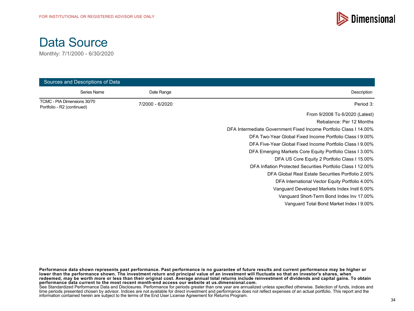



| Sources and Descriptions of Data                          |                 |                                                                   |
|-----------------------------------------------------------|-----------------|-------------------------------------------------------------------|
| Series Name                                               | Date Range      | Description                                                       |
| TCMC - PIA Dimensions 30/70<br>Portfolio - R2 (continued) | 7/2000 - 6/2020 | Period 3:                                                         |
|                                                           |                 | From 9/2008 To 6/2020 (Latest)                                    |
|                                                           |                 | Rebalance: Per 12 Months                                          |
|                                                           |                 | DFA Intermediate Government Fixed Income Portfolio Class I 14.00% |
|                                                           |                 | DFA Two-Year Global Fixed Income Portfolio Class 19.00%           |
|                                                           |                 | DFA Five-Year Global Fixed Income Portfolio Class I 9.00%         |
|                                                           |                 | DFA Emerging Markets Core Equity Portfolio Class I 3.00%          |
|                                                           |                 | DFA US Core Equity 2 Portfolio Class I 15.00%                     |
|                                                           |                 | DFA Inflation Protected Securities Portfolio Class I 12.00%       |
|                                                           |                 | DFA Global Real Estate Securities Portfolio 2.00%                 |
|                                                           |                 | DFA International Vector Equity Portfolio 4.00%                   |
|                                                           |                 | Vanguard Developed Markets Index Instl 6.00%                      |
|                                                           |                 | Vanguard Short-Term Bond Index Inv 17.00%                         |
|                                                           |                 | Vanguard Total Bond Market Index I 9.00%                          |

**Performance data shown represents past performance. Past performance is no guarantee of future results and current performance may be higher or lower than the performance shown. The investment return and principal value of an investment will fluctuate so that an investor's shares, when redeemed, may be worth more or less than their original cost. Average annual total returns include reinvestment of dividends and capital gains. To obtain performance data current to the most recent month-end access our website at us.dimensional.com.**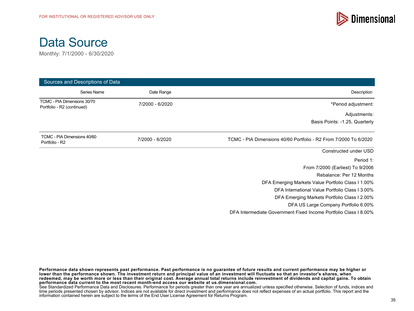



| Sources and Descriptions of Data                          |                 |                                                                  |
|-----------------------------------------------------------|-----------------|------------------------------------------------------------------|
| Series Name                                               | Date Range      | Description                                                      |
| TCMC - PIA Dimensions 30/70<br>Portfolio - R2 (continued) | 7/2000 - 6/2020 | *Period adjustment:                                              |
|                                                           |                 | Adjustments:                                                     |
|                                                           |                 | Basis Points: -1.25, Quarterly                                   |
| TCMC - PIA Dimensions 40/60<br>Portfolio - R2             | 7/2000 - 6/2020 | TCMC - PIA Dimensions 40/60 Portfolio - R2 From 7/2000 To 6/2020 |
|                                                           |                 | Constructed under USD                                            |
|                                                           |                 | Period 1:                                                        |
|                                                           |                 | From 7/2000 (Earliest) To 9/2006                                 |
|                                                           |                 | Rebalance: Per 12 Months                                         |
|                                                           |                 | DFA Emerging Markets Value Portfolio Class I 1.00%               |
|                                                           |                 | DFA International Value Portfolio Class I 3.00%                  |
|                                                           |                 | DFA Emerging Markets Portfolio Class I 2.00%                     |
|                                                           |                 | DFA US Large Company Portfolio 6.00%                             |
|                                                           |                 | DFA Intermediate Government Fixed Income Portfolio Class I 8.00% |

**Performance data shown represents past performance. Past performance is no guarantee of future results and current performance may be higher or lower than the performance shown. The investment return and principal value of an investment will fluctuate so that an investor's shares, when redeemed, may be worth more or less than their original cost. Average annual total returns include reinvestment of dividends and capital gains. To obtain performance data current to the most recent month-end access our website at us.dimensional.com.** See Standardized Performance Data and Disclosures. Performance for periods greater than one year are annualized unless specified otherwise. Selection of funds, indices and

time periods presented chosen by advisor. Indices are not available for direct investment and performance does not reflect expenses of an actual portfolio. This report and the information contained herein are subject to the terms of the End User License Agreement for Returns Program.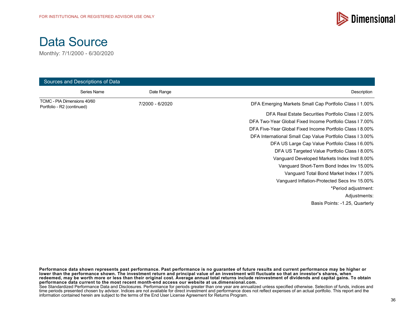

Monthly: 7/1/2000 - 6/30/2020

| Sources and Descriptions of Data                          |                 |                                                           |
|-----------------------------------------------------------|-----------------|-----------------------------------------------------------|
| Series Name                                               | Date Range      | Description                                               |
| TCMC - PIA Dimensions 40/60<br>Portfolio - R2 (continued) | 7/2000 - 6/2020 | DFA Emerging Markets Small Cap Portfolio Class I 1.00%    |
|                                                           |                 | DFA Real Estate Securities Portfolio Class I 2.00%        |
|                                                           |                 | DFA Two-Year Global Fixed Income Portfolio Class 17.00%   |
|                                                           |                 | DFA Five-Year Global Fixed Income Portfolio Class I 8.00% |
|                                                           |                 | DFA International Small Cap Value Portfolio Class I 3.00% |
|                                                           |                 | DFA US Large Cap Value Portfolio Class I 6.00%            |
|                                                           |                 | DFA US Targeted Value Portfolio Class I 8.00%             |
|                                                           |                 | Vanguard Developed Markets Index Instl 8.00%              |
|                                                           |                 | Vanguard Short-Term Bond Index Inv 15.00%                 |
|                                                           |                 | Vanguard Total Bond Market Index I 7.00%                  |
|                                                           |                 | Vanguard Inflation-Protected Secs Inv 15.00%              |
|                                                           |                 | *Period adjustment:                                       |
|                                                           |                 | Adjustments:                                              |
|                                                           |                 | Basis Points: -1.25, Quarterly                            |

**Performance data shown represents past performance. Past performance is no guarantee of future results and current performance may be higher or lower than the performance shown. The investment return and principal value of an investment will fluctuate so that an investor's shares, when redeemed, may be worth more or less than their original cost. Average annual total returns include reinvestment of dividends and capital gains. To obtain performance data current to the most recent month-end access our website at us.dimensional.com.**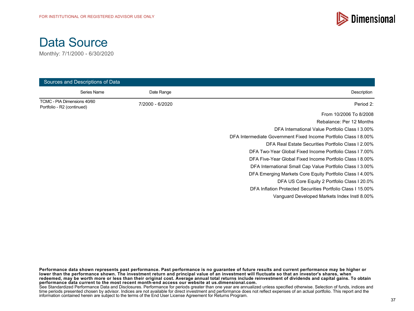



| Sources and Descriptions of Data                          |                 |                                                                  |
|-----------------------------------------------------------|-----------------|------------------------------------------------------------------|
| Series Name                                               | Date Range      | Description                                                      |
| TCMC - PIA Dimensions 40/60<br>Portfolio - R2 (continued) | 7/2000 - 6/2020 | Period 2:                                                        |
|                                                           |                 | From 10/2006 To 8/2008                                           |
|                                                           |                 | Rebalance: Per 12 Months                                         |
|                                                           |                 | DFA International Value Portfolio Class I 3.00%                  |
|                                                           |                 | DFA Intermediate Government Fixed Income Portfolio Class I 8.00% |
|                                                           |                 | DFA Real Estate Securities Portfolio Class I 2.00%               |
|                                                           |                 | DFA Two-Year Global Fixed Income Portfolio Class 17.00%          |
|                                                           |                 | DFA Five-Year Global Fixed Income Portfolio Class 18.00%         |
|                                                           |                 | DFA International Small Cap Value Portfolio Class I 3.00%        |
|                                                           |                 | DFA Emerging Markets Core Equity Portfolio Class I 4.00%         |
|                                                           |                 | DFA US Core Equity 2 Portfolio Class I 20.0%                     |
|                                                           |                 | DFA Inflation Protected Securities Portfolio Class I 15,00%      |
|                                                           |                 | Vanguard Developed Markets Index Instl 8.00%                     |

**Performance data shown represents past performance. Past performance is no guarantee of future results and current performance may be higher or lower than the performance shown. The investment return and principal value of an investment will fluctuate so that an investor's shares, when redeemed, may be worth more or less than their original cost. Average annual total returns include reinvestment of dividends and capital gains. To obtain performance data current to the most recent month-end access our website at us.dimensional.com.**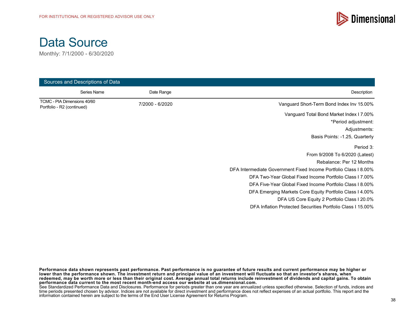



| Sources and Descriptions of Data                          |                 |                                                                  |
|-----------------------------------------------------------|-----------------|------------------------------------------------------------------|
| Series Name                                               | Date Range      | Description                                                      |
| TCMC - PIA Dimensions 40/60<br>Portfolio - R2 (continued) | 7/2000 - 6/2020 | Vanguard Short-Term Bond Index Inv 15.00%                        |
|                                                           |                 | Vanguard Total Bond Market Index I 7.00%                         |
|                                                           |                 | *Period adjustment:                                              |
|                                                           |                 | Adjustments:                                                     |
|                                                           |                 | Basis Points: -1.25, Quarterly                                   |
|                                                           |                 | Period 3:                                                        |
|                                                           |                 | From 9/2008 To 6/2020 (Latest)                                   |
|                                                           |                 | Rebalance: Per 12 Months                                         |
|                                                           |                 | DFA Intermediate Government Fixed Income Portfolio Class I 8.00% |
|                                                           |                 | DFA Two-Year Global Fixed Income Portfolio Class 17.00%          |
|                                                           |                 | DFA Five-Year Global Fixed Income Portfolio Class I 8.00%        |
|                                                           |                 | DFA Emerging Markets Core Equity Portfolio Class I 4.00%         |
|                                                           |                 | DFA US Core Equity 2 Portfolio Class I 20.0%                     |
|                                                           |                 | DFA Inflation Protected Securities Portfolio Class I 15,00%      |

**Performance data shown represents past performance. Past performance is no guarantee of future results and current performance may be higher or lower than the performance shown. The investment return and principal value of an investment will fluctuate so that an investor's shares, when redeemed, may be worth more or less than their original cost. Average annual total returns include reinvestment of dividends and capital gains. To obtain performance data current to the most recent month-end access our website at us.dimensional.com.**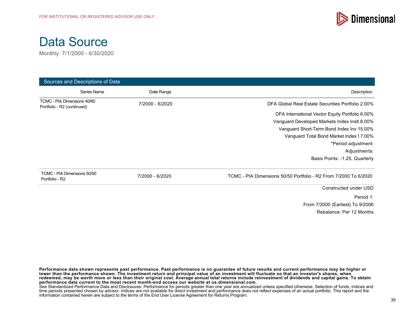



| Sources and Descriptions of Data                          |                 |                                                                  |
|-----------------------------------------------------------|-----------------|------------------------------------------------------------------|
| Series Name                                               | Date Range      | Description                                                      |
| TCMC - PIA Dimensions 40/60<br>Portfolio - R2 (continued) | 7/2000 - 6/2020 | DFA Global Real Estate Securities Portfolio 2.00%                |
|                                                           |                 | DFA International Vector Equity Portfolio 6.00%                  |
|                                                           |                 | Vanguard Developed Markets Index Instl 8.00%                     |
|                                                           |                 | Vanguard Short-Term Bond Index Inv 15.00%                        |
|                                                           |                 | Vanguard Total Bond Market Index I 7.00%                         |
|                                                           |                 | *Period adjustment:                                              |
|                                                           |                 | Adjustments:                                                     |
|                                                           |                 | Basis Points: -1.25, Quarterly                                   |
| TCMC - PIA Dimensions 50/50<br>Portfolio - R2             | 7/2000 - 6/2020 | TCMC - PIA Dimensions 50/50 Portfolio - R2 From 7/2000 To 6/2020 |
|                                                           |                 | Constructed under USD                                            |
|                                                           |                 | Period 1:                                                        |
|                                                           |                 | From 7/2000 (Earliest) To 9/2006                                 |
|                                                           |                 | Rebalance: Per 12 Months                                         |

**Performance data shown represents past performance. Past performance is no guarantee of future results and current performance may be higher or lower than the performance shown. The investment return and principal value of an investment will fluctuate so that an investor's shares, when redeemed, may be worth more or less than their original cost. Average annual total returns include reinvestment of dividends and capital gains. To obtain performance data current to the most recent month-end access our website at us.dimensional.com.** See Standardized Performance Data and Disclosures. Performance for periods greater than one year are annualized unless specified otherwise. Selection of funds, indices and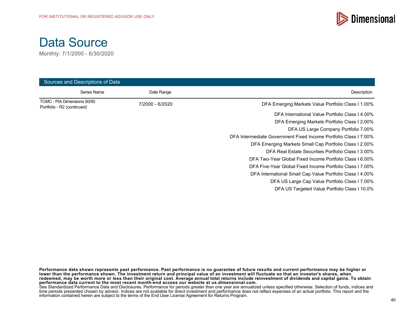

Monthly: 7/1/2000 - 6/30/2020

| Sources and Descriptions of Data                          |                 |                                                                  |
|-----------------------------------------------------------|-----------------|------------------------------------------------------------------|
| Series Name                                               | Date Range      | Description                                                      |
| TCMC - PIA Dimensions 50/50<br>Portfolio - R2 (continued) | 7/2000 - 6/2020 | DFA Emerging Markets Value Portfolio Class I 1.00%               |
|                                                           |                 | DFA International Value Portfolio Class I 4.00%                  |
|                                                           |                 | DFA Emerging Markets Portfolio Class I 2.00%                     |
|                                                           |                 | DFA US Large Company Portfolio 7.00%                             |
|                                                           |                 | DFA Intermediate Government Fixed Income Portfolio Class I 7.00% |
|                                                           |                 | DFA Emerging Markets Small Cap Portfolio Class I 2.00%           |
|                                                           |                 | DFA Real Estate Securities Portfolio Class I 3.00%               |
|                                                           |                 | DFA Two-Year Global Fixed Income Portfolio Class 16.00%          |
|                                                           |                 | DFA Five-Year Global Fixed Income Portfolio Class I 7.00%        |
|                                                           |                 | DFA International Small Cap Value Portfolio Class 14.00%         |
|                                                           |                 | DFA US Large Cap Value Portfolio Class 17.00%                    |
|                                                           |                 | DFA US Targeted Value Portfolio Class I 10.0%                    |

**Performance data shown represents past performance. Past performance is no guarantee of future results and current performance may be higher or lower than the performance shown. The investment return and principal value of an investment will fluctuate so that an investor's shares, when redeemed, may be worth more or less than their original cost. Average annual total returns include reinvestment of dividends and capital gains. To obtain performance data current to the most recent month-end access our website at us.dimensional.com.**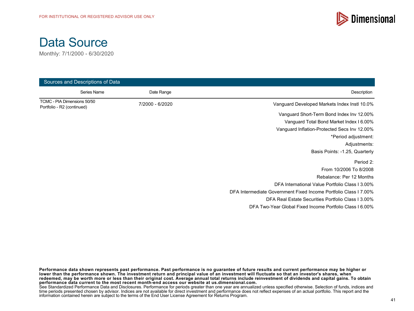



| Sources and Descriptions of Data                          |                 |                                                                  |
|-----------------------------------------------------------|-----------------|------------------------------------------------------------------|
| Series Name                                               | Date Range      | Description                                                      |
| TCMC - PIA Dimensions 50/50<br>Portfolio - R2 (continued) | 7/2000 - 6/2020 | Vanguard Developed Markets Index Instl 10.0%                     |
|                                                           |                 | Vanguard Short-Term Bond Index Inv 12.00%                        |
|                                                           |                 | Vanguard Total Bond Market Index I 6.00%                         |
|                                                           |                 | Vanguard Inflation-Protected Secs Inv 12.00%                     |
|                                                           |                 | *Period adjustment:                                              |
|                                                           |                 | Adjustments:                                                     |
|                                                           |                 | Basis Points: -1.25, Quarterly                                   |
|                                                           |                 | Period 2:                                                        |
|                                                           |                 | From 10/2006 To 8/2008                                           |
|                                                           |                 | Rebalance: Per 12 Months                                         |
|                                                           |                 | DFA International Value Portfolio Class I 3.00%                  |
|                                                           |                 | DFA Intermediate Government Fixed Income Portfolio Class I 7.00% |
|                                                           |                 | DFA Real Estate Securities Portfolio Class I 3.00%               |
|                                                           |                 | DFA Two-Year Global Fixed Income Portfolio Class I 6.00%         |

**Performance data shown represents past performance. Past performance is no guarantee of future results and current performance may be higher or lower than the performance shown. The investment return and principal value of an investment will fluctuate so that an investor's shares, when redeemed, may be worth more or less than their original cost. Average annual total returns include reinvestment of dividends and capital gains. To obtain performance data current to the most recent month-end access our website at us.dimensional.com.**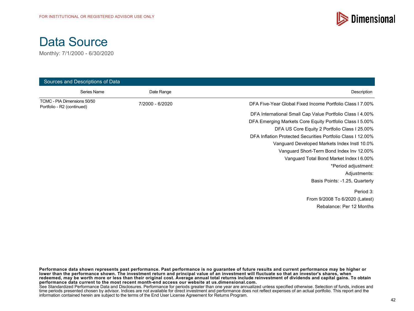

Monthly: 7/1/2000 - 6/30/2020

| Sources and Descriptions of Data                          |                 |                                                             |
|-----------------------------------------------------------|-----------------|-------------------------------------------------------------|
| Series Name                                               | Date Range      | Description                                                 |
| TCMC - PIA Dimensions 50/50<br>Portfolio - R2 (continued) | 7/2000 - 6/2020 | DFA Five-Year Global Fixed Income Portfolio Class 17,00%    |
|                                                           |                 | DFA International Small Cap Value Portfolio Class I 4.00%   |
|                                                           |                 | DFA Emerging Markets Core Equity Portfolio Class I 5.00%    |
|                                                           |                 | DFA US Core Equity 2 Portfolio Class I 25.00%               |
|                                                           |                 | DFA Inflation Protected Securities Portfolio Class I 12.00% |
|                                                           |                 | Vanguard Developed Markets Index Instl 10.0%                |
|                                                           |                 | Vanguard Short-Term Bond Index Inv 12.00%                   |
|                                                           |                 | Vanguard Total Bond Market Index I 6.00%                    |
|                                                           |                 | *Period adjustment:                                         |
|                                                           |                 | Adjustments:                                                |
|                                                           |                 | Basis Points: -1.25, Quarterly                              |
|                                                           |                 | Period 3:                                                   |
|                                                           |                 | From 9/2008 To 6/2020 (Latest)                              |
|                                                           |                 | Rebalance: Per 12 Months                                    |
|                                                           |                 |                                                             |

**Performance data shown represents past performance. Past performance is no guarantee of future results and current performance may be higher or lower than the performance shown. The investment return and principal value of an investment will fluctuate so that an investor's shares, when redeemed, may be worth more or less than their original cost. Average annual total returns include reinvestment of dividends and capital gains. To obtain performance data current to the most recent month-end access our website at us.dimensional.com.**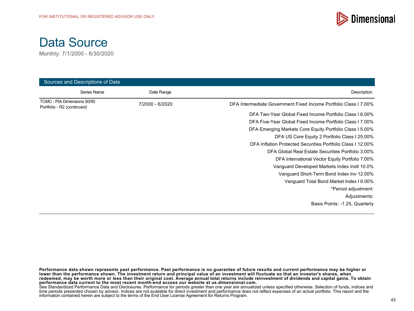

Monthly: 7/1/2000 - 6/30/2020

| Sources and Descriptions of Data                          |                 |                                                                  |
|-----------------------------------------------------------|-----------------|------------------------------------------------------------------|
| Series Name                                               | Date Range      | Description                                                      |
| TCMC - PIA Dimensions 50/50<br>Portfolio - R2 (continued) | 7/2000 - 6/2020 | DFA Intermediate Government Fixed Income Portfolio Class I 7.00% |
|                                                           |                 | DFA Two-Year Global Fixed Income Portfolio Class I 6.00%         |
|                                                           |                 | DFA Five-Year Global Fixed Income Portfolio Class 17.00%         |
|                                                           |                 | DFA Emerging Markets Core Equity Portfolio Class I 5.00%         |
|                                                           |                 | DFA US Core Equity 2 Portfolio Class I 25.00%                    |
|                                                           |                 | DFA Inflation Protected Securities Portfolio Class I 12.00%      |
|                                                           |                 | DFA Global Real Estate Securities Portfolio 3.00%                |
|                                                           |                 | DFA International Vector Equity Portfolio 7.00%                  |
|                                                           |                 | Vanguard Developed Markets Index Instl 10.0%                     |
|                                                           |                 | Vanguard Short-Term Bond Index Inv 12.00%                        |
|                                                           |                 | Vanguard Total Bond Market Index I 6.00%                         |
|                                                           |                 | *Period adjustment:                                              |
|                                                           |                 | Adjustments:                                                     |
|                                                           |                 | Basis Points: -1.25, Quarterly                                   |

**Performance data shown represents past performance. Past performance is no guarantee of future results and current performance may be higher or lower than the performance shown. The investment return and principal value of an investment will fluctuate so that an investor's shares, when redeemed, may be worth more or less than their original cost. Average annual total returns include reinvestment of dividends and capital gains. To obtain performance data current to the most recent month-end access our website at us.dimensional.com.**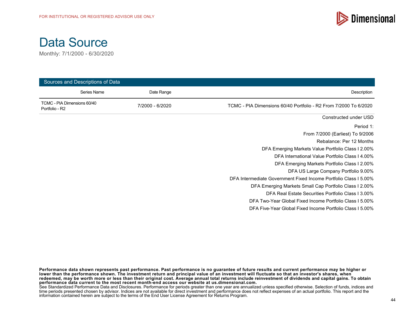

Monthly: 7/1/2000 - 6/30/2020

| Sources and Descriptions of Data              |                           |                                                                  |
|-----------------------------------------------|---------------------------|------------------------------------------------------------------|
|                                               | Series Name<br>Date Range | Description                                                      |
| TCMC - PIA Dimensions 60/40<br>Portfolio - R2 | 7/2000 - 6/2020           | TCMC - PIA Dimensions 60/40 Portfolio - R2 From 7/2000 To 6/2020 |
|                                               |                           | Constructed under USD                                            |
|                                               |                           | Period 1:                                                        |
|                                               |                           | From 7/2000 (Earliest) To 9/2006                                 |
|                                               |                           | Rebalance: Per 12 Months                                         |
|                                               |                           | DFA Emerging Markets Value Portfolio Class I 2.00%               |
|                                               |                           | DFA International Value Portfolio Class I 4.00%                  |
|                                               |                           | DFA Emerging Markets Portfolio Class I 2.00%                     |
|                                               |                           | DFA US Large Company Portfolio 9.00%                             |
|                                               |                           | DFA Intermediate Government Fixed Income Portfolio Class I 5.00% |
|                                               |                           | DFA Emerging Markets Small Cap Portfolio Class I 2.00%           |
|                                               |                           | DFA Real Estate Securities Portfolio Class I 3.00%               |
|                                               |                           | DFA Two-Year Global Fixed Income Portfolio Class I 5.00%         |
|                                               |                           | DFA Five-Year Global Fixed Income Portfolio Class 15.00%         |

**Performance data shown represents past performance. Past performance is no guarantee of future results and current performance may be higher or lower than the performance shown. The investment return and principal value of an investment will fluctuate so that an investor's shares, when redeemed, may be worth more or less than their original cost. Average annual total returns include reinvestment of dividends and capital gains. To obtain performance data current to the most recent month-end access our website at us.dimensional.com.**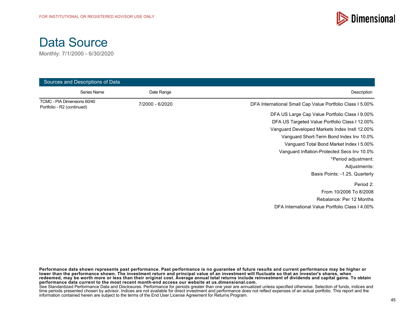



| Sources and Descriptions of Data                          |                 |                                                           |
|-----------------------------------------------------------|-----------------|-----------------------------------------------------------|
| Series Name                                               | Date Range      | Description                                               |
| TCMC - PIA Dimensions 60/40<br>Portfolio - R2 (continued) | 7/2000 - 6/2020 | DFA International Small Cap Value Portfolio Class I 5.00% |
|                                                           |                 | DFA US Large Cap Value Portfolio Class I 9.00%            |
|                                                           |                 | DFA US Targeted Value Portfolio Class I 12.00%            |
|                                                           |                 | Vanguard Developed Markets Index Instl 12.00%             |
|                                                           |                 | Vanguard Short-Term Bond Index Inv 10.0%                  |
|                                                           |                 | Vanguard Total Bond Market Index I 5.00%                  |
|                                                           |                 | Vanguard Inflation-Protected Secs Inv 10.0%               |
|                                                           |                 | *Period adjustment:                                       |
|                                                           |                 | Adjustments:                                              |
|                                                           |                 | Basis Points: -1.25, Quarterly                            |
|                                                           |                 | Period 2:                                                 |
|                                                           |                 | From 10/2006 To 8/2008                                    |
|                                                           |                 | Rebalance: Per 12 Months                                  |
|                                                           |                 | DFA International Value Portfolio Class I 4.00%           |

**Performance data shown represents past performance. Past performance is no guarantee of future results and current performance may be higher or lower than the performance shown. The investment return and principal value of an investment will fluctuate so that an investor's shares, when redeemed, may be worth more or less than their original cost. Average annual total returns include reinvestment of dividends and capital gains. To obtain performance data current to the most recent month-end access our website at us.dimensional.com.**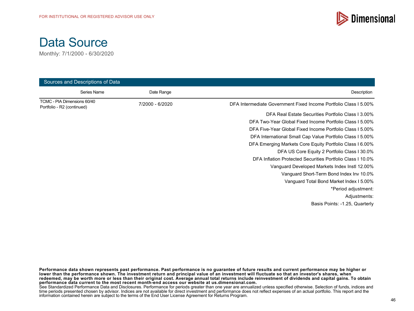

Monthly: 7/1/2000 - 6/30/2020

| Sources and Descriptions of Data                          |                 |                                                                  |
|-----------------------------------------------------------|-----------------|------------------------------------------------------------------|
| Series Name                                               | Date Range      | Description                                                      |
| TCMC - PIA Dimensions 60/40<br>Portfolio - R2 (continued) | 7/2000 - 6/2020 | DFA Intermediate Government Fixed Income Portfolio Class I 5.00% |
|                                                           |                 | DFA Real Estate Securities Portfolio Class 13.00%                |
|                                                           |                 | DFA Two-Year Global Fixed Income Portfolio Class I 5.00%         |
|                                                           |                 | DFA Five-Year Global Fixed Income Portfolio Class I 5.00%        |
|                                                           |                 | DFA International Small Cap Value Portfolio Class I 5.00%        |
|                                                           |                 | DFA Emerging Markets Core Equity Portfolio Class I 6.00%         |
|                                                           |                 | DFA US Core Equity 2 Portfolio Class I 30.0%                     |
|                                                           |                 | DFA Inflation Protected Securities Portfolio Class I 10.0%       |
|                                                           |                 | Vanguard Developed Markets Index Instl 12.00%                    |
|                                                           |                 | Vanguard Short-Term Bond Index Inv 10.0%                         |
|                                                           |                 | Vanguard Total Bond Market Index I 5.00%                         |
|                                                           |                 | *Period adjustment:                                              |
|                                                           |                 | Adjustments:                                                     |
|                                                           |                 | Basis Points: -1.25, Quarterly                                   |

**Performance data shown represents past performance. Past performance is no guarantee of future results and current performance may be higher or lower than the performance shown. The investment return and principal value of an investment will fluctuate so that an investor's shares, when redeemed, may be worth more or less than their original cost. Average annual total returns include reinvestment of dividends and capital gains. To obtain performance data current to the most recent month-end access our website at us.dimensional.com.**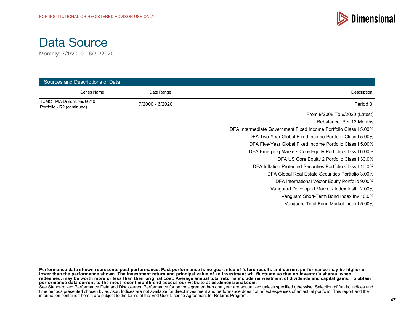

Monthly: 7/1/2000 - 6/30/2020

| Sources and Descriptions of Data                          |                 |                                                                  |
|-----------------------------------------------------------|-----------------|------------------------------------------------------------------|
| Series Name                                               | Date Range      | Description                                                      |
| TCMC - PIA Dimensions 60/40<br>Portfolio - R2 (continued) | 7/2000 - 6/2020 | Period 3:                                                        |
|                                                           |                 | From 9/2008 To 6/2020 (Latest)                                   |
|                                                           |                 | Rebalance: Per 12 Months                                         |
|                                                           |                 | DFA Intermediate Government Fixed Income Portfolio Class I 5.00% |
|                                                           |                 | DFA Two-Year Global Fixed Income Portfolio Class 15.00%          |
|                                                           |                 | DFA Five-Year Global Fixed Income Portfolio Class I 5.00%        |
|                                                           |                 | DFA Emerging Markets Core Equity Portfolio Class I 6.00%         |
|                                                           |                 | DFA US Core Equity 2 Portfolio Class I 30.0%                     |
|                                                           |                 | DFA Inflation Protected Securities Portfolio Class I 10.0%       |
|                                                           |                 | DFA Global Real Estate Securities Portfolio 3.00%                |
|                                                           |                 | DFA International Vector Equity Portfolio 9.00%                  |
|                                                           |                 | Vanguard Developed Markets Index Instl 12.00%                    |
|                                                           |                 | Vanguard Short-Term Bond Index Inv 10.0%                         |
|                                                           |                 | Vanguard Total Bond Market Index I 5.00%                         |

**Performance data shown represents past performance. Past performance is no guarantee of future results and current performance may be higher or lower than the performance shown. The investment return and principal value of an investment will fluctuate so that an investor's shares, when redeemed, may be worth more or less than their original cost. Average annual total returns include reinvestment of dividends and capital gains. To obtain performance data current to the most recent month-end access our website at us.dimensional.com.**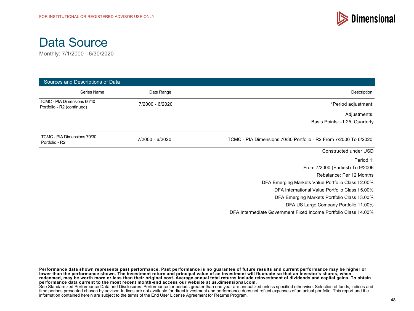



| Sources and Descriptions of Data                          |                 |                                                                  |
|-----------------------------------------------------------|-----------------|------------------------------------------------------------------|
| Series Name                                               | Date Range      | Description                                                      |
| TCMC - PIA Dimensions 60/40<br>Portfolio - R2 (continued) | 7/2000 - 6/2020 | *Period adjustment:                                              |
|                                                           |                 | Adjustments:                                                     |
|                                                           |                 | Basis Points: -1.25, Quarterly                                   |
| TCMC - PIA Dimensions 70/30<br>Portfolio - R2             | 7/2000 - 6/2020 | TCMC - PIA Dimensions 70/30 Portfolio - R2 From 7/2000 To 6/2020 |
|                                                           |                 | Constructed under USD                                            |
|                                                           |                 | Period 1:                                                        |
|                                                           |                 | From 7/2000 (Earliest) To 9/2006                                 |
|                                                           |                 | Rebalance: Per 12 Months                                         |
|                                                           |                 | DFA Emerging Markets Value Portfolio Class I 2.00%               |
|                                                           |                 | DFA International Value Portfolio Class I 5.00%                  |
|                                                           |                 | DFA Emerging Markets Portfolio Class I 3.00%                     |
|                                                           |                 | DFA US Large Company Portfolio 11.00%                            |
|                                                           |                 | DFA Intermediate Government Fixed Income Portfolio Class I 4.00% |

**Performance data shown represents past performance. Past performance is no guarantee of future results and current performance may be higher or lower than the performance shown. The investment return and principal value of an investment will fluctuate so that an investor's shares, when redeemed, may be worth more or less than their original cost. Average annual total returns include reinvestment of dividends and capital gains. To obtain performance data current to the most recent month-end access our website at us.dimensional.com.** See Standardized Performance Data and Disclosures. Performance for periods greater than one year are annualized unless specified otherwise. Selection of funds, indices and

time periods presented chosen by advisor. Indices are not available for direct investment and performance does not reflect expenses of an actual portfolio. This report and the information contained herein are subject to the terms of the End User License Agreement for Returns Program.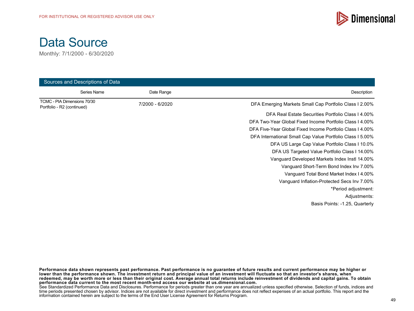

Monthly: 7/1/2000 - 6/30/2020

| Sources and Descriptions of Data                          |                 |                                                           |
|-----------------------------------------------------------|-----------------|-----------------------------------------------------------|
| Series Name                                               | Date Range      | Description                                               |
| TCMC - PIA Dimensions 70/30<br>Portfolio - R2 (continued) | 7/2000 - 6/2020 | DFA Emerging Markets Small Cap Portfolio Class I 2.00%    |
|                                                           |                 | DFA Real Estate Securities Portfolio Class I 4.00%        |
|                                                           |                 | DFA Two-Year Global Fixed Income Portfolio Class 14.00%   |
|                                                           |                 | DFA Five-Year Global Fixed Income Portfolio Class I 4.00% |
|                                                           |                 | DFA International Small Cap Value Portfolio Class I 5.00% |
|                                                           |                 | DFA US Large Cap Value Portfolio Class I 10.0%            |
|                                                           |                 | DFA US Targeted Value Portfolio Class I 14.00%            |
|                                                           |                 | Vanguard Developed Markets Index Instl 14.00%             |
|                                                           |                 | Vanguard Short-Term Bond Index Inv 7.00%                  |
|                                                           |                 | Vanguard Total Bond Market Index I 4.00%                  |
|                                                           |                 | Vanguard Inflation-Protected Secs Inv 7.00%               |
|                                                           |                 | *Period adjustment:                                       |
|                                                           |                 | Adjustments:                                              |
|                                                           |                 | Basis Points: -1.25, Quarterly                            |

**Performance data shown represents past performance. Past performance is no guarantee of future results and current performance may be higher or lower than the performance shown. The investment return and principal value of an investment will fluctuate so that an investor's shares, when redeemed, may be worth more or less than their original cost. Average annual total returns include reinvestment of dividends and capital gains. To obtain performance data current to the most recent month-end access our website at us.dimensional.com.**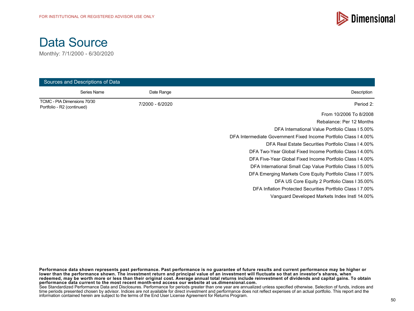



| Sources and Descriptions of Data                          |                 |                                                                  |
|-----------------------------------------------------------|-----------------|------------------------------------------------------------------|
| Series Name                                               | Date Range      | Description                                                      |
| TCMC - PIA Dimensions 70/30<br>Portfolio - R2 (continued) | 7/2000 - 6/2020 | Period 2:                                                        |
|                                                           |                 | From 10/2006 To 8/2008                                           |
|                                                           |                 | Rebalance: Per 12 Months                                         |
|                                                           |                 | DFA International Value Portfolio Class I 5.00%                  |
|                                                           |                 | DFA Intermediate Government Fixed Income Portfolio Class I 4.00% |
|                                                           |                 | DFA Real Estate Securities Portfolio Class 14.00%                |
|                                                           |                 | DFA Two-Year Global Fixed Income Portfolio Class I 4.00%         |
|                                                           |                 | DFA Five-Year Global Fixed Income Portfolio Class 14.00%         |
|                                                           |                 | DFA International Small Cap Value Portfolio Class I 5.00%        |
|                                                           |                 | DFA Emerging Markets Core Equity Portfolio Class 17.00%          |
|                                                           |                 | DFA US Core Equity 2 Portfolio Class I 35.00%                    |
|                                                           |                 | DFA Inflation Protected Securities Portfolio Class I 7.00%       |
|                                                           |                 | Vanguard Developed Markets Index Instl 14.00%                    |

**Performance data shown represents past performance. Past performance is no guarantee of future results and current performance may be higher or lower than the performance shown. The investment return and principal value of an investment will fluctuate so that an investor's shares, when redeemed, may be worth more or less than their original cost. Average annual total returns include reinvestment of dividends and capital gains. To obtain performance data current to the most recent month-end access our website at us.dimensional.com.**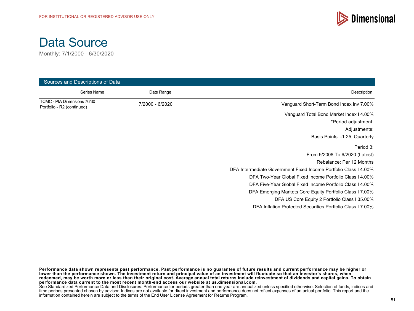



| Sources and Descriptions of Data                          |                 |                                                                  |
|-----------------------------------------------------------|-----------------|------------------------------------------------------------------|
| Series Name                                               | Date Range      | Description                                                      |
| TCMC - PIA Dimensions 70/30<br>Portfolio - R2 (continued) | 7/2000 - 6/2020 | Vanguard Short-Term Bond Index Inv 7.00%                         |
|                                                           |                 | Vanguard Total Bond Market Index I 4.00%                         |
|                                                           |                 | *Period adjustment:                                              |
|                                                           |                 | Adjustments:                                                     |
|                                                           |                 | Basis Points: -1.25, Quarterly                                   |
|                                                           |                 | Period 3:                                                        |
|                                                           |                 | From 9/2008 To 6/2020 (Latest)                                   |
|                                                           |                 | Rebalance: Per 12 Months                                         |
|                                                           |                 | DFA Intermediate Government Fixed Income Portfolio Class I 4.00% |
|                                                           |                 | DFA Two-Year Global Fixed Income Portfolio Class I 4.00%         |
|                                                           |                 | DFA Five-Year Global Fixed Income Portfolio Class I 4.00%        |
|                                                           |                 | DFA Emerging Markets Core Equity Portfolio Class I 7.00%         |
|                                                           |                 | DFA US Core Equity 2 Portfolio Class I 35.00%                    |
|                                                           |                 | DFA Inflation Protected Securities Portfolio Class 17.00%        |

**Performance data shown represents past performance. Past performance is no guarantee of future results and current performance may be higher or lower than the performance shown. The investment return and principal value of an investment will fluctuate so that an investor's shares, when redeemed, may be worth more or less than their original cost. Average annual total returns include reinvestment of dividends and capital gains. To obtain performance data current to the most recent month-end access our website at us.dimensional.com.**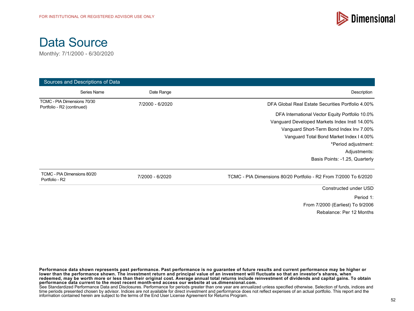



| Sources and Descriptions of Data                          |                 |                                                                  |
|-----------------------------------------------------------|-----------------|------------------------------------------------------------------|
| Series Name                                               | Date Range      | Description                                                      |
| TCMC - PIA Dimensions 70/30<br>Portfolio - R2 (continued) | 7/2000 - 6/2020 | DFA Global Real Estate Securities Portfolio 4.00%                |
|                                                           |                 | DFA International Vector Equity Portfolio 10.0%                  |
|                                                           |                 | Vanguard Developed Markets Index Instl 14.00%                    |
|                                                           |                 | Vanguard Short-Term Bond Index Inv 7.00%                         |
|                                                           |                 | Vanguard Total Bond Market Index I 4.00%                         |
|                                                           |                 | *Period adjustment:                                              |
|                                                           |                 | Adjustments:                                                     |
|                                                           |                 | Basis Points: -1.25, Quarterly                                   |
| TCMC - PIA Dimensions 80/20<br>Portfolio - R2             | 7/2000 - 6/2020 | TCMC - PIA Dimensions 80/20 Portfolio - R2 From 7/2000 To 6/2020 |
|                                                           |                 | Constructed under USD                                            |
|                                                           |                 | Period 1:                                                        |
|                                                           |                 | From 7/2000 (Earliest) To 9/2006                                 |
|                                                           |                 | Rebalance: Per 12 Months                                         |

**Performance data shown represents past performance. Past performance is no guarantee of future results and current performance may be higher or lower than the performance shown. The investment return and principal value of an investment will fluctuate so that an investor's shares, when redeemed, may be worth more or less than their original cost. Average annual total returns include reinvestment of dividends and capital gains. To obtain performance data current to the most recent month-end access our website at us.dimensional.com.** See Standardized Performance Data and Disclosures. Performance for periods greater than one year are annualized unless specified otherwise. Selection of funds, indices and time periods presented chosen by advisor. Indices are not available for direct investment and performance does not reflect expenses of an actual portfolio. This report and the information contained herein are subject to the terms of the End User License Agreement for Returns Program.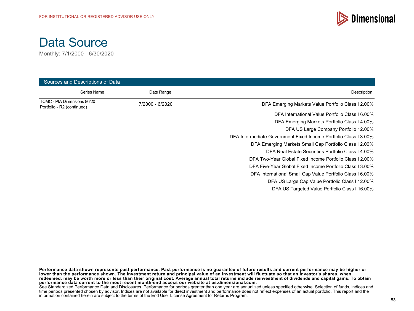

Monthly: 7/1/2000 - 6/30/2020

| Sources and Descriptions of Data                          |                 |                                                                  |
|-----------------------------------------------------------|-----------------|------------------------------------------------------------------|
| Series Name                                               | Date Range      | Description                                                      |
| TCMC - PIA Dimensions 80/20<br>Portfolio - R2 (continued) | 7/2000 - 6/2020 | DFA Emerging Markets Value Portfolio Class I 2.00%               |
|                                                           |                 | DFA International Value Portfolio Class I 6.00%                  |
|                                                           |                 | DFA Emerging Markets Portfolio Class I 4.00%                     |
|                                                           |                 | DFA US Large Company Portfolio 12.00%                            |
|                                                           |                 | DFA Intermediate Government Fixed Income Portfolio Class I 3.00% |
|                                                           |                 | DFA Emerging Markets Small Cap Portfolio Class 1 2.00%           |
|                                                           |                 | DFA Real Estate Securities Portfolio Class I 4.00%               |
|                                                           |                 | DFA Two-Year Global Fixed Income Portfolio Class I 2.00%         |
|                                                           |                 | DFA Five-Year Global Fixed Income Portfolio Class 13.00%         |
|                                                           |                 | DFA International Small Cap Value Portfolio Class I 6.00%        |
|                                                           |                 | DFA US Large Cap Value Portfolio Class I 12.00%                  |
|                                                           |                 | DFA US Targeted Value Portfolio Class I 16.00%                   |

**Performance data shown represents past performance. Past performance is no guarantee of future results and current performance may be higher or lower than the performance shown. The investment return and principal value of an investment will fluctuate so that an investor's shares, when redeemed, may be worth more or less than their original cost. Average annual total returns include reinvestment of dividends and capital gains. To obtain performance data current to the most recent month-end access our website at us.dimensional.com.**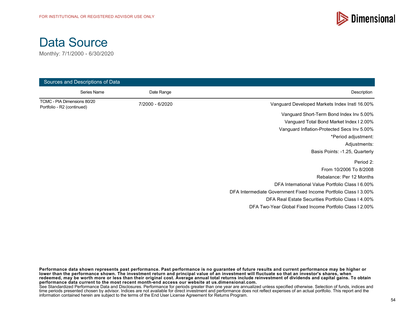

Monthly: 7/1/2000 - 6/30/2020

| Sources and Descriptions of Data                          |             |                 |                                                                  |
|-----------------------------------------------------------|-------------|-----------------|------------------------------------------------------------------|
|                                                           | Series Name | Date Range      | Description                                                      |
| TCMC - PIA Dimensions 80/20<br>Portfolio - R2 (continued) |             | 7/2000 - 6/2020 | Vanguard Developed Markets Index Instl 16.00%                    |
|                                                           |             |                 | Vanguard Short-Term Bond Index Inv 5.00%                         |
|                                                           |             |                 | Vanguard Total Bond Market Index I 2.00%                         |
|                                                           |             |                 | Vanguard Inflation-Protected Secs Inv 5.00%                      |
|                                                           |             |                 | *Period adjustment:                                              |
|                                                           |             |                 | Adjustments:                                                     |
|                                                           |             |                 | Basis Points: -1.25, Quarterly                                   |
|                                                           |             |                 | Period 2:                                                        |
|                                                           |             |                 | From 10/2006 To 8/2008                                           |
|                                                           |             |                 | Rebalance: Per 12 Months                                         |
|                                                           |             |                 | DFA International Value Portfolio Class I 6.00%                  |
|                                                           |             |                 | DFA Intermediate Government Fixed Income Portfolio Class I 3.00% |
|                                                           |             |                 | DFA Real Estate Securities Portfolio Class I 4.00%               |
|                                                           |             |                 | DFA Two-Year Global Fixed Income Portfolio Class 12.00%          |

**Performance data shown represents past performance. Past performance is no guarantee of future results and current performance may be higher or lower than the performance shown. The investment return and principal value of an investment will fluctuate so that an investor's shares, when redeemed, may be worth more or less than their original cost. Average annual total returns include reinvestment of dividends and capital gains. To obtain performance data current to the most recent month-end access our website at us.dimensional.com.**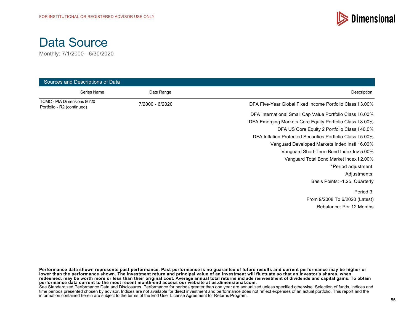

Monthly: 7/1/2000 - 6/30/2020

| Sources and Descriptions of Data                          |                 |                                                            |
|-----------------------------------------------------------|-----------------|------------------------------------------------------------|
| Series Name                                               | Date Range      | Description                                                |
| TCMC - PIA Dimensions 80/20<br>Portfolio - R2 (continued) | 7/2000 - 6/2020 | DFA Five-Year Global Fixed Income Portfolio Class I 3.00%  |
|                                                           |                 | DFA International Small Cap Value Portfolio Class I 6.00%  |
|                                                           |                 | DFA Emerging Markets Core Equity Portfolio Class I 8.00%   |
|                                                           |                 | DFA US Core Equity 2 Portfolio Class I 40.0%               |
|                                                           |                 | DFA Inflation Protected Securities Portfolio Class I 5.00% |
|                                                           |                 | Vanguard Developed Markets Index Instl 16.00%              |
|                                                           |                 | Vanguard Short-Term Bond Index Inv 5.00%                   |
|                                                           |                 | Vanguard Total Bond Market Index I 2.00%                   |
|                                                           |                 | *Period adjustment:                                        |
|                                                           |                 | Adjustments:                                               |
|                                                           |                 | Basis Points: -1.25, Quarterly                             |
|                                                           |                 | Period 3:                                                  |
|                                                           |                 | From 9/2008 To 6/2020 (Latest)                             |
|                                                           |                 | Rebalance: Per 12 Months                                   |

**Performance data shown represents past performance. Past performance is no guarantee of future results and current performance may be higher or lower than the performance shown. The investment return and principal value of an investment will fluctuate so that an investor's shares, when redeemed, may be worth more or less than their original cost. Average annual total returns include reinvestment of dividends and capital gains. To obtain performance data current to the most recent month-end access our website at us.dimensional.com.**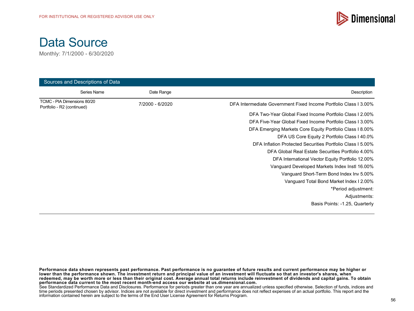



| Sources and Descriptions of Data                          |                 |                                                                  |
|-----------------------------------------------------------|-----------------|------------------------------------------------------------------|
| Series Name                                               | Date Range      | Description                                                      |
| TCMC - PIA Dimensions 80/20<br>Portfolio - R2 (continued) | 7/2000 - 6/2020 | DFA Intermediate Government Fixed Income Portfolio Class I 3.00% |
|                                                           |                 | DFA Two-Year Global Fixed Income Portfolio Class 12.00%          |
|                                                           |                 | DFA Five-Year Global Fixed Income Portfolio Class I 3.00%        |
|                                                           |                 | DFA Emerging Markets Core Equity Portfolio Class I 8.00%         |
|                                                           |                 | DFA US Core Equity 2 Portfolio Class I 40.0%                     |
|                                                           |                 | DFA Inflation Protected Securities Portfolio Class I 5.00%       |
|                                                           |                 | DFA Global Real Estate Securities Portfolio 4.00%                |
|                                                           |                 | DFA International Vector Equity Portfolio 12.00%                 |
|                                                           |                 | Vanguard Developed Markets Index Instl 16.00%                    |
|                                                           |                 | Vanguard Short-Term Bond Index Inv 5.00%                         |
|                                                           |                 | Vanguard Total Bond Market Index I 2.00%                         |
|                                                           |                 | *Period adjustment:                                              |
|                                                           |                 | Adjustments:                                                     |
|                                                           |                 | Basis Points: -1.25, Quarterly                                   |

**Performance data shown represents past performance. Past performance is no guarantee of future results and current performance may be higher or lower than the performance shown. The investment return and principal value of an investment will fluctuate so that an investor's shares, when redeemed, may be worth more or less than their original cost. Average annual total returns include reinvestment of dividends and capital gains. To obtain performance data current to the most recent month-end access our website at us.dimensional.com.**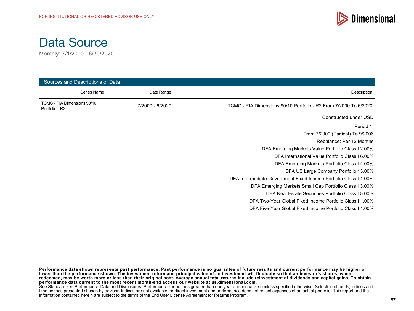

Monthly: 7/1/2000 - 6/30/2020

|                                               | Sources and Descriptions of Data |                 |                                                                  |
|-----------------------------------------------|----------------------------------|-----------------|------------------------------------------------------------------|
|                                               | Series Name                      | Date Range      | Description                                                      |
| TCMC - PIA Dimensions 90/10<br>Portfolio - R2 |                                  | 7/2000 - 6/2020 | TCMC - PIA Dimensions 90/10 Portfolio - R2 From 7/2000 To 6/2020 |
|                                               |                                  |                 | Constructed under USD                                            |
|                                               |                                  |                 | Period 1:                                                        |
|                                               |                                  |                 | From 7/2000 (Earliest) To 9/2006                                 |
|                                               |                                  |                 | Rebalance: Per 12 Months                                         |
|                                               |                                  |                 | DFA Emerging Markets Value Portfolio Class I 2.00%               |
|                                               |                                  |                 | DFA International Value Portfolio Class I 6.00%                  |
|                                               |                                  |                 | DFA Emerging Markets Portfolio Class I 4.00%                     |
|                                               |                                  |                 | DFA US Large Company Portfolio 13.00%                            |
|                                               |                                  |                 | DFA Intermediate Government Fixed Income Portfolio Class I 1.00% |
|                                               |                                  |                 | DFA Emerging Markets Small Cap Portfolio Class I 3.00%           |
|                                               |                                  |                 | DFA Real Estate Securities Portfolio Class I 5.00%               |
|                                               |                                  |                 | DFA Two-Year Global Fixed Income Portfolio Class 11.00%          |
|                                               |                                  |                 | DFA Five-Year Global Fixed Income Portfolio Class 11.00%         |

**Performance data shown represents past performance. Past performance is no guarantee of future results and current performance may be higher or lower than the performance shown. The investment return and principal value of an investment will fluctuate so that an investor's shares, when redeemed, may be worth more or less than their original cost. Average annual total returns include reinvestment of dividends and capital gains. To obtain performance data current to the most recent month-end access our website at us.dimensional.com.**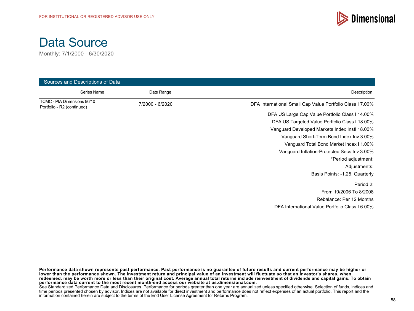



| Sources and Descriptions of Data                          |                 |                                                           |
|-----------------------------------------------------------|-----------------|-----------------------------------------------------------|
| Series Name                                               | Date Range      | Description                                               |
| TCMC - PIA Dimensions 90/10<br>Portfolio - R2 (continued) | 7/2000 - 6/2020 | DFA International Small Cap Value Portfolio Class I 7.00% |
|                                                           |                 | DFA US Large Cap Value Portfolio Class I 14.00%           |
|                                                           |                 | DFA US Targeted Value Portfolio Class I 18.00%            |
|                                                           |                 | Vanguard Developed Markets Index Instl 18.00%             |
|                                                           |                 | Vanguard Short-Term Bond Index Inv 3.00%                  |
|                                                           |                 | Vanguard Total Bond Market Index I 1.00%                  |
|                                                           |                 | Vanguard Inflation-Protected Secs Inv 3.00%               |
|                                                           |                 | *Period adjustment:                                       |
|                                                           |                 | Adjustments:                                              |
|                                                           |                 | Basis Points: -1.25, Quarterly                            |
|                                                           |                 | Period 2:                                                 |
|                                                           |                 | From 10/2006 To 8/2008                                    |
|                                                           |                 | Rebalance: Per 12 Months                                  |
|                                                           |                 | DFA International Value Portfolio Class I 6.00%           |

**Performance data shown represents past performance. Past performance is no guarantee of future results and current performance may be higher or lower than the performance shown. The investment return and principal value of an investment will fluctuate so that an investor's shares, when redeemed, may be worth more or less than their original cost. Average annual total returns include reinvestment of dividends and capital gains. To obtain performance data current to the most recent month-end access our website at us.dimensional.com.**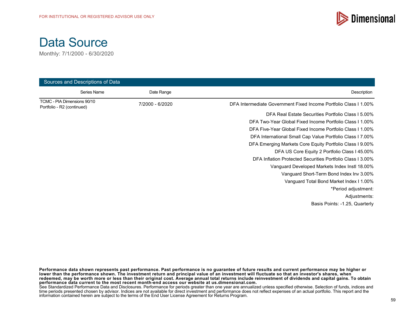

Monthly: 7/1/2000 - 6/30/2020

| Sources and Descriptions of Data                          |                 |                                                                  |
|-----------------------------------------------------------|-----------------|------------------------------------------------------------------|
| Series Name                                               | Date Range      | Description                                                      |
| TCMC - PIA Dimensions 90/10<br>Portfolio - R2 (continued) | 7/2000 - 6/2020 | DFA Intermediate Government Fixed Income Portfolio Class I 1.00% |
|                                                           |                 | DFA Real Estate Securities Portfolio Class I 5.00%               |
|                                                           |                 | DFA Two-Year Global Fixed Income Portfolio Class 11.00%          |
|                                                           |                 | DFA Five-Year Global Fixed Income Portfolio Class I 1.00%        |
|                                                           |                 | DFA International Small Cap Value Portfolio Class I 7.00%        |
|                                                           |                 | DFA Emerging Markets Core Equity Portfolio Class I 9.00%         |
|                                                           |                 | DFA US Core Equity 2 Portfolio Class I 45.00%                    |
|                                                           |                 | DFA Inflation Protected Securities Portfolio Class I 3.00%       |
|                                                           |                 | Vanguard Developed Markets Index Instl 18.00%                    |
|                                                           |                 | Vanguard Short-Term Bond Index Inv 3.00%                         |
|                                                           |                 | Vanguard Total Bond Market Index I 1.00%                         |
|                                                           |                 | *Period adjustment:                                              |
|                                                           |                 | Adjustments:                                                     |
|                                                           |                 | Basis Points: -1.25, Quarterly                                   |

**Performance data shown represents past performance. Past performance is no guarantee of future results and current performance may be higher or lower than the performance shown. The investment return and principal value of an investment will fluctuate so that an investor's shares, when redeemed, may be worth more or less than their original cost. Average annual total returns include reinvestment of dividends and capital gains. To obtain performance data current to the most recent month-end access our website at us.dimensional.com.**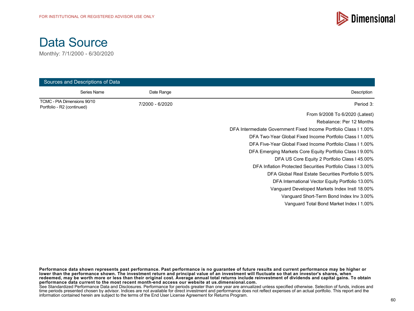

Monthly: 7/1/2000 - 6/30/2020

| Sources and Descriptions of Data                          |                 |                                                                  |
|-----------------------------------------------------------|-----------------|------------------------------------------------------------------|
| Series Name                                               | Date Range      | Description                                                      |
| TCMC - PIA Dimensions 90/10<br>Portfolio - R2 (continued) | 7/2000 - 6/2020 | Period 3:                                                        |
|                                                           |                 | From 9/2008 To 6/2020 (Latest)                                   |
|                                                           |                 | Rebalance: Per 12 Months                                         |
|                                                           |                 | DFA Intermediate Government Fixed Income Portfolio Class I 1.00% |
|                                                           |                 | DFA Two-Year Global Fixed Income Portfolio Class 11.00%          |
|                                                           |                 | DFA Five-Year Global Fixed Income Portfolio Class I 1.00%        |
|                                                           |                 | DFA Emerging Markets Core Equity Portfolio Class I 9.00%         |
|                                                           |                 | DFA US Core Equity 2 Portfolio Class I 45.00%                    |
|                                                           |                 | DFA Inflation Protected Securities Portfolio Class I 3.00%       |
|                                                           |                 | DFA Global Real Estate Securities Portfolio 5.00%                |
|                                                           |                 | DFA International Vector Equity Portfolio 13.00%                 |
|                                                           |                 | Vanguard Developed Markets Index Instl 18.00%                    |
|                                                           |                 | Vanguard Short-Term Bond Index Inv 3.00%                         |
|                                                           |                 | Vanguard Total Bond Market Index I 1.00%                         |

**Performance data shown represents past performance. Past performance is no guarantee of future results and current performance may be higher or lower than the performance shown. The investment return and principal value of an investment will fluctuate so that an investor's shares, when redeemed, may be worth more or less than their original cost. Average annual total returns include reinvestment of dividends and capital gains. To obtain performance data current to the most recent month-end access our website at us.dimensional.com.**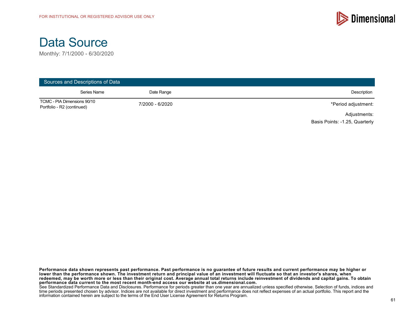



| Sources and Descriptions of Data                          |                 |                                |
|-----------------------------------------------------------|-----------------|--------------------------------|
| Series Name                                               | Date Range      | Description                    |
| TCMC - PIA Dimensions 90/10<br>Portfolio - R2 (continued) | 7/2000 - 6/2020 | *Period adjustment:            |
|                                                           |                 | Adjustments:                   |
|                                                           |                 | Basis Points: -1.25, Quarterly |

**Performance data shown represents past performance. Past performance is no guarantee of future results and current performance may be higher or lower than the performance shown. The investment return and principal value of an investment will fluctuate so that an investor's shares, when redeemed, may be worth more or less than their original cost. Average annual total returns include reinvestment of dividends and capital gains. To obtain performance data current to the most recent month-end access our website at us.dimensional.com.**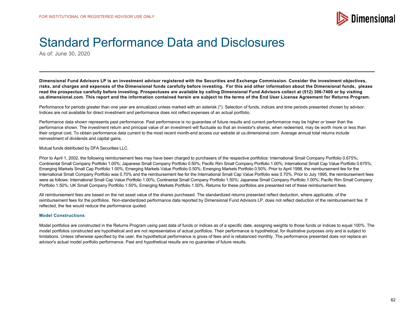

As of: June 30, 2020

**Dimensional Fund Advisors LP is an investment advisor registered with the Securities and Exchange Commission. Consider the investment objectives, risks, and charges and expenses of the Dimensional funds carefully before investing. For this and other information about the Dimensional funds, please read the prospectus carefully before investing. Prospectuses are available by calling Dimensional Fund Advisors collect at (512) 306-7400 or by visiting us.dimensional.com. This report and the information contained herein are subject to the terms of the End User License Agreement for Returns Program.**

Performance for periods greater than one year are annualized unless marked with an asterisk (\*). Selection of funds, indices and time periods presented chosen by advisor. Indices are not available for direct investment and performance does not reflect expenses of an actual portfolio.

Performance data shown represents past performance. Past performance is no guarantee of future results and current performance may be higher or lower than the performance shown. The investment return and principal value of an investment will fluctuate so that an investor's shares, when redeemed, may be worth more or less than their original cost. To obtain performance data current to the most recent month-end access our website at us.dimensional.com. Average annual total returns include reinvestment of dividends and capital gains.

Mutual funds distributed by DFA Securities LLC.

Prior to April 1, 2002, the following reimbursement fees may have been charged to purchasers of the respective portfolios: International Small Company Portfolio 0.675%; Continental Small Company Portfolio 1.00%; Japanese Small Company Portfolio 0.50%; Pacific Rim Small Company Portfolio 1.00%; International Small Cap Value Portfolio 0.675%; Emerging Markets Small Cap Portfolio 1.00%; Emerging Markets Value Portfolio 0.50%; Emerging Markets Portfolio 0.50%. Prior to April 1998, the reimbursement fee for the International Small Company Portfolio was 0.70% and the reimbursement fee for the International Small Cap Value Portfolio was 0.70%. Prior to July 1995, the reimbursement fees were as follows: International Small Cap Value Portfolio 1.00%; Continental Small Company Portfolio 1.50%; Japanese Small Company Portfolio 1.00%; Pacific Rim Small Company Portfolio 1.50%; UK Small Company Portfolio 1.50%; Emerging Markets Portfolio 1.50%. Returns for these portfolios are presented net of these reimbursement fees.

All reimbursement fees are based on the net asset value of the shares purchased. The standardized returns presented reflect deduction, where applicable, of the reimbursement fees for the portfolios. Non-standardized performance data reported by Dimensional Fund Advisors LP. does not reflect deduction of the reimbursement fee. If reflected, the fee would reduce the performance quoted.

#### **Model Constructions**

Model portfolios are constructed in the Returns Program using past data of funds or indices as of a specific date, assigning weights to those funds or indices to equal 100%. The model portfolios constructed are hypothetical and are not representative of actual portfolios. Their performance is hypothetical, for illustrative purposes only and is subject to limitations. Unless otherwise specified by the user, the hypothetical performance is gross of fees and is rebalanced monthly. The performance presented does not replace an advisor's actual model portfolio performance. Past and hypothetical results are no guarantee of future results.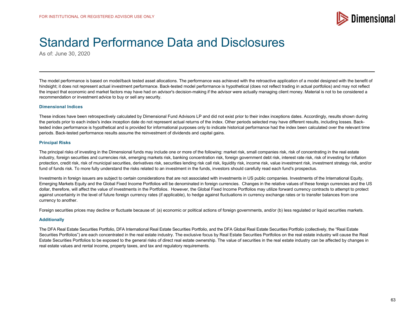

As of: June 30, 2020

The model performance is based on model/back tested asset allocations. The performance was achieved with the retroactive application of a model designed with the benefit of hindsight; it does not represent actual investment performance. Back-tested model performance is hypothetical (does not reflect trading in actual portfolios) and may not reflect the impact that economic and market factors may have had on advisor's decision-making if the advisor were actually managing client money. Material is not to be considered a recommendation or investment advice to buy or sell any security.

#### **Dimensional Indices**

These indices have been retrospectively calculated by Dimensional Fund Advisors LP and did not exist prior to their index inceptions dates. Accordingly, results shown during the periods prior to each index's index inception date do not represent actual returns of the index. Other periods selected may have different results, including losses. Backtested index performance is hypothetical and is provided for informational purposes only to indicate historical performance had the index been calculated over the relevant time periods. Back-tested performance results assume the reinvestment of dividends and capital gains.

#### **Principal Risks**

The principal risks of investing in the Dimensional funds may include one or more of the following: market risk, small companies risk, risk of concentrating in the real estate industry, foreign securities and currencies risk, emerging markets risk, banking concentration risk, foreign government debt risk, interest rate risk, risk of investing for inflation protection, credit risk, risk of municipal securities, derivatives risk, securities lending risk call risk, liquidity risk, income risk, value investment risk, investment strategy risk, and/or fund of funds risk. To more fully understand the risks related to an investment in the funds, investors should carefully read each fund's prospectus.

Investments in foreign issuers are subject to certain considerations that are not associated with investments in US public companies. Investments of the International Equity, Emerging Markets Equity and the Global Fixed Income Portfolios will be denominated in foreign currencies. Changes in the relative values of these foreign currencies and the US dollar, therefore, will affect the value of investments in the Portfolios. However, the Global Fixed Income Portfolios may utilize forward currency contracts to attempt to protect against uncertainty in the level of future foreign currency rates (if applicable), to hedge against fluctuations in currency exchange rates or to transfer balances from one currency to another.

Foreign securities prices may decline or fluctuate because of: (a) economic or political actions of foreign governments, and/or (b) less regulated or liquid securities markets.

#### **Additionally**

The DFA Real Estate Securities Portfolio, DFA International Real Estate Securities Portfolio, and the DFA Global Real Estate Securities Portfolio (collectively, the "Real Estate Securities Portfolios") are each concentrated in the real estate industry. The exclusive focus by Real Estate Securities Portfolios on the real estate industry will cause the Real Estate Securities Portfolios to be exposed to the general risks of direct real estate ownership. The value of securities in the real estate industry can be affected by changes in real estate values and rental income, property taxes, and tax and regulatory requirements.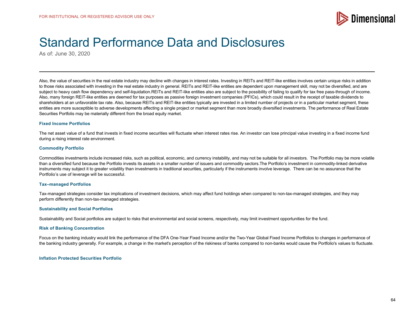

As of: June 30, 2020

Also, the value of securities in the real estate industry may decline with changes in interest rates. Investing in REITs and REIT-like entities involves certain unique risks in addition to those risks associated with investing in the real estate industry in general. REITs and REIT-like entities are dependent upon management skill, may not be diversified, and are subject to heavy cash flow dependency and self-liquidation.REITs and REIT-like entities also are subject to the possibility of failing to qualify for tax free pass-through of income. Also, many foreign REIT-like entities are deemed for tax purposes as passive foreign investment companies (PFICs), which could result in the receipt of taxable dividends to shareholders at an unfavorable tax rate. Also, because REITs and REIT-like entities typically are invested in a limited number of projects or in a particular market segment, these entities are more susceptible to adverse developments affecting a single project or market segment than more broadly diversified investments. The performance of Real Estate Securities Portfolis may be materially different from the broad equity market.

#### **Fixed Income Portfolios**

The net asset value of a fund that invests in fixed income securities will fluctuate when interest rates rise. An investor can lose principal value investing in a fixed income fund during a rising interest rate environment.

#### **Commodity Portfolio**

Commodities investments include increased risks, such as political, economic, and currency instability, and may not be suitable for all investors. The Portfolio may be more volatile than a diversified fund because the Portfolio invests its assets in a smaller number of issuers and commodity sectors.The Portfolio's investment in commodity-linked derivative instruments may subject it to greater volatility than investments in traditional securities, particularly if the instruments involve leverage. There can be no assurance that the Portfolio's use of leverage will be successful.

#### **Tax–managed Portfolios**

Tax-managed strategies consider tax implications of investment decisions, which may affect fund holdings when compared to non-tax-managed strategies, and they may perform differently than non-tax-managed strategies.

#### **Sustainability and Social Portfolios**

Sustainability and Social portfolios are subject to risks that environmental and social screens, respectively, may limit investment opportunities for the fund.

#### **Risk of Banking Concentration**

Focus on the banking industry would link the performance of the DFA One-Year Fixed Income and/or the Two-Year Global Fixed Income Portfolios to changes in performance of the banking industry generally. For example, a change in the market's perception of the riskiness of banks compared to non-banks would cause the Portfolio's values to fluctuate.

#### **Inflation Protected Securities Portfolio**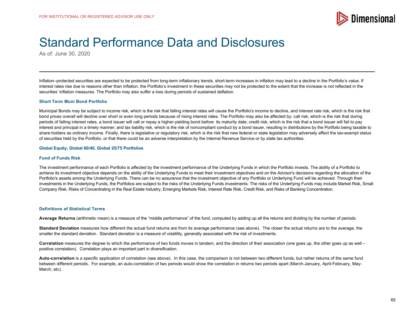

As of: June 30, 2020

Inflation–protected securities are expected to be protected from long-term inflationary trends, short-term increases in inflation may lead to a decline in the Portfolio's value. If interest rates rise due to reasons other than inflation, the Portfolio's investment in these securities may not be protected to the extent that the increase is not reflected in the securities' inflation measures. The Portfolio may also suffer a loss during periods of sustained deflation.

#### **Short Term Muni Bond Portfolio**

Municipal Bonds may be subject to income risk, which is the risk that falling interest rates will cause the Portfolio's income to decline, and interest rate risk, which is the risk that bond prices overall will decline over short or even long periods because of rising interest rates. The Portfolio may also be affected by: call risk, which is the risk that during periods of falling interest rates, a bond issuer will call or repay a higher-yielding bond before its maturity date; credit risk, which is the risk that a bond issuer will fail to pay interest and principal in a timely manner; and tax liability risk, which is the risk of noncompliant conduct by a bond issuer, resulting in distributions by the Portfolio being taxable to share-holders as ordinary income. Finally, there is legislative or regulatory risk, which is the risk that new federal or state legislation may adversely affect the tax-exempt status of securities held by the Portfolio, or that there could be an adverse interpretation by the Internal Revenue Service or by state tax authorities.

#### **Global Equity, Global 60/40, Global 25/75 Portfolios**

#### **Fund of Funds Risk**

The investment performance of each Portfolio is affected by the investment performance of the Underlying Funds in which the Portfolio invests. The ability of a Portfolio to achieve its investment objective depends on the ability of the Underlying Funds to meet their investment objectives and on the Advisor's decisions regarding the allocation of the Portfolio's assets among the Underlying Funds. There can be no assurance that the investment objective of any Portfolio or Underlying Fund will be achieved. Through their investments in the Underlying Funds, the Portfolios are subject to the risks of the Underlying Funds investments. The risks of the Underlying Funds may include Market Risk, Small Company Risk, Risks of Concentrating in the Real Estate Industry, Emerging Markets Risk, Interest Rate Risk, Credit Risk, and Risks of Banking Concentration.

#### **Definitions of Statistical Terms**

**Average Returns** (arithmetic mean) is a measure of the "middle performance" of the fund, computed by adding up all the returns and dividing by the number of periods.

**Standard Deviation** measures how different the actual fund returns are from its average performance (see above). The closer the actual returns are to the average, the smaller the standard deviation. Standard deviation is a measure of volatility, generally associated with the risk of investments.

**Correlation** measures the degree to which the performance of two funds moves in tandem, and the direction of their association (one goes up, the other goes up as well – positive correlation). Correlation plays an important part in diversification.

**Auto-correlation** is a specific application of correlation (see above). In this case, the comparison is not between two different funds, but rather returns of the same fund between different periods. For example, an auto-correlation of two periods would show the correlation in returns two periods apart (March-January, April-February, May-March, etc).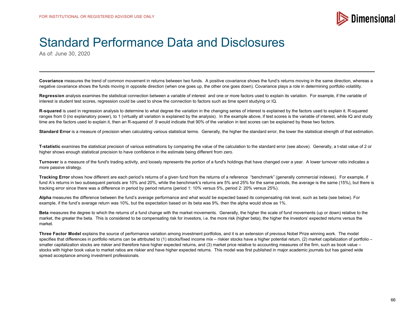

As of: June 30, 2020

**Covariance** measures the trend of common movement in returns between two funds. A positive covariance shows the fund's returns moving in the same direction, whereas a negative covariance shows the funds moving in opposite direction (when one goes up, the other one goes down). Covariance plays a role in determining portfolio volatility.

Regression analysis examines the statistical connection between a variable of interest and one or more factors used to explain its variation. For example, if the variable of interest is student test scores, regression could be used to show the connection to factors such as time spent studying or IQ.

**R-squared** is used in regression analysis to determine to what degree the variation in the changing series of interest is explained by the factors used to explain it. R-squared ranges from 0 (no explanatory power), to 1 (virtually all variation is explained by the analysis). In the example above, if test scores is the variable of interest, while IQ and study time are the factors used to explain it, then an R-squared of .9 would indicate that 90% of the variation in test scores can be explained by these two factors.

**Standard Error** is a measure of precision when calculating various statistical terms. Generally, the higher the standard error, the lower the statistical strength of that estimation.

**T-statistic** examines the statistical precision of various estimations by comparing the value of the calculation to the standard error (see above). Generally, a t-stat value of 2 or higher shows enough statistical precision to have confidence in the estimate being different from zero.

**Turnover** is a measure of the fund's trading activity, and loosely represents the portion of a fund's holdings that have changed over a year. A lower turnover ratio indicates a more passive strategy.

**Tracking Error** shows how different are each period's returns of a given fund from the returns of a reference "benchmark" (generally commercial indexes). For example, if fund A's returns in two subsequent periods are 10% and 20%, while the benchmark's returns are 5% and 25% for the same periods, the average is the same (15%), but there is tracking error since there was a difference in period by period returns (period 1: 10% versus 5%, period 2: 20% versus 25%).

**Alpha** measures the difference between the fund's average performance and what would be expected based its compensating risk level, such as beta (see below). For example, if the fund's average return was 10%, but the expectation based on its beta was 9%, then the alpha would show as 1%.

**Beta** measures the degree to which the returns of a fund change with the market movements. Generally, the higher the scale of fund movements (up or down) relative to the market, the greater the beta. This is considered to be compensating risk for investors, i.e. the more risk (higher beta), the higher the investors' expected returns versus the market.

**Three Factor Model** explains the source of performance variation among investment portfolios, and it is an extension of previous Nobel Prize winning work. The model specifies that differences in portfolio returns can be attributed to (1) stocks/fixed income mix - riskier stocks have a higher potential return, (2) market capitalization of portfolio smaller capitalization stocks are riskier and therefore have higher expected returns, and (3) market price relative to accounting measures of the firm, such as book value – stocks with higher book value to market ratios are riskier and have higher expected returns. This model was first published in major academic journals but has gained wide spread acceptance among investment professionals.